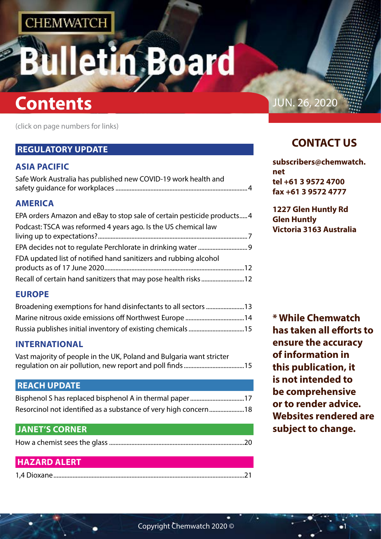# n Board

## **Contents Contents Contents**

(click on page numbers for links)

### **[REGULATORY UPDATE](#page-2-0)**

### **[ASIA PACIFIC](#page-2-0)**

[Safe Work Australia has published new COVID-19 work health and](#page-2-0)  [safety guidance for workplaces...................................................................................4](#page-2-0)

### **[AMERICA](#page-2-0)**

| EPA orders Amazon and eBay to stop sale of certain pesticide products 4 |  |
|-------------------------------------------------------------------------|--|
| Podcast: TSCA was reformed 4 years ago. Is the US chemical law          |  |
|                                                                         |  |
|                                                                         |  |
| FDA updated list of notified hand sanitizers and rubbing alcohol        |  |
|                                                                         |  |
| Recall of certain hand sanitizers that may pose health risks12          |  |

### **[EUROPE](#page-6-0)**

### **[INTERNATIONAL](#page-7-0)**

[Vast majority of people in the UK, Poland and Bulgaria want stricter](#page-7-0)  [regulation on air pollution, new report and poll finds......................................15](#page-7-0)

### **[REACH UPDATE](#page-8-0)**

### **[JANET'S CORNER](#page-10-0)**

|--|--|--|

### **[HAZARD ALERT](#page-10-0)**

## **CONTACT US**

**[subscribers@chemwatch.](mailto:subscribers@chemwatch.net) [net](mailto:subscribers@chemwatch.net) tel +61 3 9572 4700 fax +61 3 9572 4777**

**1227 Glen Huntly Rd Glen Huntly Victoria 3163 Australia**

**\* While Chemwatch has taken all efforts to ensure the accuracy of information in this publication, it is not intended to be comprehensive or to render advice. Websites rendered are subject to change.**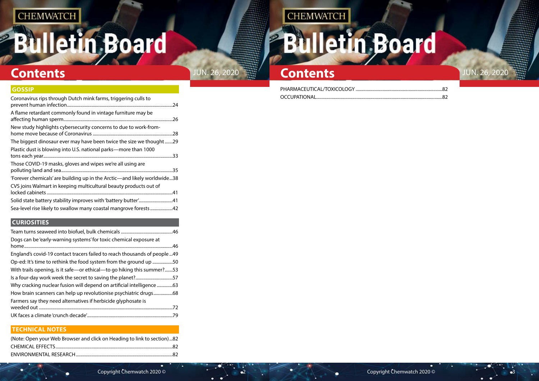# **Bulletin Board**

# **Contents** JUN. 26, 2020 **Contents** JUN. 26, 2020



|  | 82 |  |
|--|----|--|
|  | 82 |  |



## **[GOSSIP](#page-12-0)**

| Coronavirus rips through Dutch mink farms, triggering culls to<br>prevent human infection | 24  |
|-------------------------------------------------------------------------------------------|-----|
| A flame retardant commonly found in vintage furniture may be                              | .26 |
| New study highlights cybersecurity concerns to due to work-from-                          | .28 |
| The biggest dinosaur ever may have been twice the size we thought29                       |     |
| Plastic dust is blowing into U.S. national parks-more than 1000                           | 33  |
| Those COVID-19 masks, gloves and wipes we're all using are<br>polluting land and sea.     | 35  |
| 'Forever chemicals' are building up in the Arctic—and likely worldwide38                  |     |
| CVS joins Walmart in keeping multicultural beauty products out of<br>locked cabinets      | .41 |
|                                                                                           |     |
| Sea-level rise likely to swallow many coastal mangrove forests42                          |     |

### **[CURIOSITIES](#page-23-0)**

| Dogs can be 'early-warning systems' for toxic chemical exposure at        |     |
|---------------------------------------------------------------------------|-----|
|                                                                           | 46  |
| England's covid-19 contact tracers failed to reach thousands of people 49 |     |
| Op-ed: It's time to rethink the food system from the ground up 50         |     |
| With trails opening, is it safe—or ethical—to go hiking this summer?53    |     |
| Is a four-day work week the secret to saving the planet?57                |     |
| Why cracking nuclear fusion will depend on artificial intelligence 63     |     |
| How brain scanners can help up revolutionise psychiatric drugs68          |     |
| Farmers say they need alternatives if herbicide glyphosate is             |     |
|                                                                           | .72 |
|                                                                           | .79 |

### **[TECHNICAL NOTES](#page-41-0)**

| (Note: Open your Web Browser and click on Heading to link to section)82 |  |
|-------------------------------------------------------------------------|--|
|                                                                         |  |
|                                                                         |  |

**CHEMWATCH** 

PHARMACEUTICAL/TOXICOLOGY .......... OCCUPATIONAL...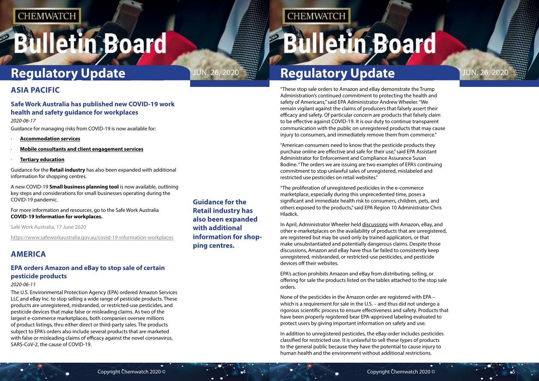# <span id="page-2-0"></span>**Bulletin Board**

**Guidance for the Retail industry has also been expanded with additional information for shopping centres.**

# **JUN. 26, 2020 THE Regulatory Update** JUN. 26, 2020

**CHEMWATCH** 

"These stop sale orders to Amazon and eBay demonstrate the Trump Administration's continued commitment to protecting the health and safety of Americans," said EPA Administrator Andrew Wheeler. "We remain vigilant against the claims of producers that falsely assert their efficacy and safety. Of particular concern are products that falsely claim to be effective against COVID-19. It is our duty to continue transparent communication with the public on unregistered products that may cause injury to consumers, and immediately remove them from commerce."

"American consumers need to know that the pesticide products they purchase online are effective and safe for their use," said EPA Assistant Administrator for Enforcement and Compliance Assurance Susan Bodine. "The orders we are issuing are two examples of EPA's continuing commitment to stop unlawful sales of unregistered, mislabeled and restricted use pesticides on retail websites."

"The proliferation of unregistered pesticides in the e-commerce marketplace, especially during this unprecedented time, poses a significant and immediate health risk to consumers, children, pets, and others exposed to the products," said EPA Region 10 Administrator Chris Hladick.

In April, Administrator Wheeler held [discussions](https://www.epa.gov/newsreleases/epa-administrator-wheeler-talks-retailers-and-third-party-marketplace-platforms-discuss) with Amazon, eBay, and other e-marketplaces on the availability of products that are unregistered, are registered but may be used only by trained applicators, or that make unsubstantiated and potentially dangerous claims. Despite those discussions, Amazon and eBay have thus far failed to consistently keep unregistered, misbranded, or restricted-use pesticides, and pesticide devices off their websites.

EPA's action prohibits Amazon and eBay from distributing, selling, or offering for sale the products listed on the tables attached to the stop sale orders.

None of the pesticides in the Amazon order are registered with EPA – which is a requirement for sale in the U.S. – and thus did not undergo a rigorous scientific process to ensure effectiveness and safety. Products that have been properly registered bear EPA-approved labeling evaluated to protect users by giving important information on safety and use.

In addition to unregistered pesticides, the eBay order includes pesticides classified for restricted use. It is unlawful to sell these types of products to the general public because they have the potential to cause injury to human health and the environment without additional restrictions.

# **Bulletin Board**

## **ASIA PACIFIC**

### **Safe Work Australia has published new COVID-19 work health and safety guidance for workplaces**

*2020-06-17*

Guidance for managing risks from COVID-19 is now available for:

- · **[Accommodation services](https://safeworkaustralia.cmail19.com/t/j-l-qdyjull-tuulidtrlu-p/)**
- · **[Mobile consultants and client engagement services](https://safeworkaustralia.cmail19.com/t/j-l-qdyjull-tuulidtrlu-x/)**
- · **[Tertiary education](https://safeworkaustralia.cmail19.com/t/j-l-qdyjull-tuulidtrlu-m/)**

Guidance for th[e](https://safeworkaustralia.cmail19.com/t/j-l-qdyjull-tuulidtrlu-g/) **[Retail industry](https://safeworkaustralia.cmail19.com/t/j-l-qdyjull-tuulidtrlu-g/)** has also been expanded with additional information for shopping centres.

A new COVID-19**[Small business planning tool](https://safeworkaustralia.cmail19.com/t/j-l-qdyjull-tuulidtrlu-w/)** is now available, outlining key steps and considerations for small businesses operating during the COVID-19 pandemic.

For more information and resources, go to the Safe Work Australia **[COVID-19 Information for workplaces.](https://safeworkaustralia.cmail19.com/t/j-l-qdyjull-tuulidtrlu-yd/)**

Safe Work Australia, 17 June 2020

<https://www.safeworkaustralia.gov.au/covid-19-information-workplaces>

## **AMERICA**

### **EPA orders Amazon and eBay to stop sale of certain pesticide products**

### *2020-06-11*

The U.S. Environmental Protection Agency (EPA) ordered Amazon Services LLC and eBay Inc. to stop selling a wide range of pesticide products. These products are unregistered, misbranded, or restricted-use pesticides, and pesticide devices that make false or misleading claims. As two of the largest e-commerce marketplaces, both companies oversee millions of product listings, thru either direct or third-party sales. The products subject to EPA's orders also include several products that are marketed with false or misleading claims of efficacy against the novel coronavirus, SARS-CoV-2, the cause of COVID-19.

## **Regulatory Update**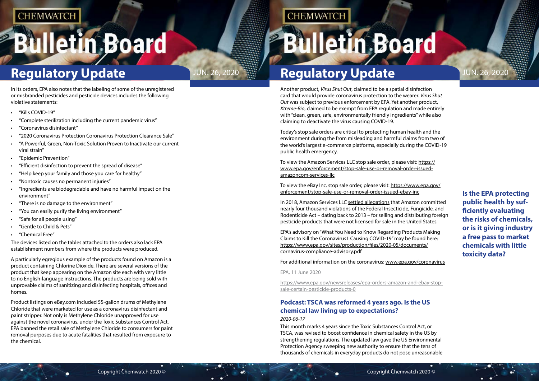# <span id="page-3-0"></span>**Bulletin Board**

## **Regulatory Update**



**Is the EPA protecting public health by sufficiently evaluating the risks of chemicals, or is it giving industry a free pass to market chemicals with little toxicity data?**

Another product, *Virus Shut Out*, claimed to be a spatial disinfection card that would provide coronavirus protection to the wearer. *Virus Shut Out* was subject to previous enforcement by EPA. Yet another product, *Xtreme-Bio*, claimed to be exempt from EPA regulation and made entirely with "clean, green, safe, environmentally friendly ingredients" while also claiming to deactivate the virus causing COVID-19.

Today's stop sale orders are critical to protecting human health and the environment during the from misleading and harmful claims from two of the world's largest e-commerce platforms, especially during the COVID-19 public health emergency.

To view the Amazon Services LLC stop sale order, please visit: [https://](https://www.epa.gov/enforcement/stop-sale-use-or-removal-order-issued-amazoncom-services-llc) [www.epa.gov/enforcement/stop-sale-use-or-removal-order-issued](https://www.epa.gov/enforcement/stop-sale-use-or-removal-order-issued-amazoncom-services-llc)[amazoncom-services-llc](https://www.epa.gov/enforcement/stop-sale-use-or-removal-order-issued-amazoncom-services-llc)

To view the eBay Inc. stop sale order, please visit: [https://www.epa.gov/](https://www.epa.gov/enforcement/stop-sale-use-or-removal-order-issued-ebay-inc) [enforcement/stop-sale-use-or-removal-order-issued-ebay-inc](https://www.epa.gov/enforcement/stop-sale-use-or-removal-order-issued-ebay-inc)

In 2018, Amazon Services LLC [settled allegations](https://archive.epa.gov/epa/newsreleases/epa-settles-amazon-distributions-illegal-pesticides.html) that Amazon committed nearly four thousand violations of the Federal Insecticide, Fungicide, and Rodenticide Act – dating back to 2013 – for selling and distributing foreign pesticide products that were not licensed for sale in the United States.

The devices listed on the tables attached to the orders also lack EPA establishment numbers from where the products were produced.

EPA's advisory on "What You Need to Know Regarding Products Making Claims to Kill the Coronavirus1 Causing COVID-19" may be found here: [https://www.epa.gov/sites/production/files/2020-05/documents/](https://www.epa.gov/sites/production/files/2020-05/documents/cornavirus-compliance-advisory.pdf) [cornavirus-compliance-advisory.pdf](https://www.epa.gov/sites/production/files/2020-05/documents/cornavirus-compliance-advisory.pdf)

For additional information on the coronavirus: [www.epa.gov/coronavirus](https://www.epa.gov/coronavirus)

EPA, 11 June 2020

[https://www.epa.gov/newsreleases/epa-orders-amazon-and-ebay-stop](https://www.epa.gov/newsreleases/epa-orders-amazon-and-ebay-stop-sale-certain-pesticide-products-0)[sale-certain-pesticide-products-0](https://www.epa.gov/newsreleases/epa-orders-amazon-and-ebay-stop-sale-certain-pesticide-products-0)

### **Podcast: TSCA was reformed 4 years ago. Is the US chemical law living up to expectations?**

*2020-06-17*

This month marks 4 years since the Toxic Substances Control Act, or TSCA, was revised to boost confidence in chemical safety in the US by strengthening regulations. The updated law gave the US Environmental Protection Agency sweeping new authority to ensure that the tens of thousands of chemicals in everyday products do not pose unreasonable

In its orders, EPA also notes that the labeling of some of the unregistered or misbranded pesticides and pesticide devices includes the following violative statements:

- "Kills COVID-19"
- "Complete sterilization including the current pandemic virus"
- "Coronavirus disinfectant"
- "2020 Coronavirus Protection Coronavirus Protection Clearance Sale"
- "A Powerful, Green, Non-Toxic Solution Proven to Inactivate our current viral strain"
- "Epidemic Prevention"
- "Efficient disinfection to prevent the spread of disease"
- "Help keep your family and those you care for healthy"
- "Nontoxic causes no permanent injuries"
- "Ingredients are biodegradable and have no harmful impact on the environment"
- "There is no damage to the environment"
- "You can easily purify the living environment"
- "Safe for all people using"
- "Gentle to Child & Pets"
- "Chemical Free"

A particularly egregious example of the products found on Amazon is a product containing Chlorine Dioxide. There are several versions of the product that keep appearing on the Amazon site each with very little to no English-language instructions. The products are being sold with unprovable claims of sanitizing and disinfecting hospitals, offices and homes.

Product listings on eBay.com included 55-gallon drums of Methylene Chloride that were marketed for use as a coronavirus disinfectant and paint stripper. Not only is Methylene Chloride unapproved for use against the novel coronavirus, under the Toxic Substances Control Act, [EPA banned the retail sale of Methylene Chloride](https://www.epa.gov/newsreleases/epa-bans-all-retail-distribution-methylene-chloride-consumers-paint-and-coating-removal) to consumers for paint removal purposes due to acute fatalities that resulted from exposure to the chemical.

## **CHEMWATCH**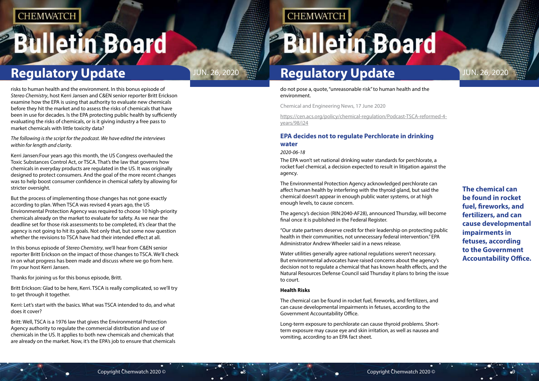# <span id="page-4-0"></span>**Bulletin Board**

## **Regulatory Update**



**The chemical can be found in rocket fuel, fireworks, and fertilizers, and can cause developmental impairments in fetuses, according to the Government Accountability Office.**

do not pose a, quote, "unreasonable risk" to human health and the environment.

Chemical and Engineering News, 17 June 2020

[https://cen.acs.org/policy/chemical-regulation/Podcast-TSCA-reformed-4](https://cen.acs.org/policy/chemical-regulation/Podcast-TSCA-reformed-4-years/98/i24) [years/98/i24](https://cen.acs.org/policy/chemical-regulation/Podcast-TSCA-reformed-4-years/98/i24)

### **EPA decides not to regulate Perchlorate in drinking water**

#### *2020-06-18*

The EPA won't set national drinking water standards for perchlorate, a rocket fuel chemical, a decision expected to result in litigation against the agency.

The Environmental Protection Agency acknowledged perchlorate can affect human health by interfering with the thyroid gland, but said the chemical doesn't appear in enough public water systems, or at high enough levels, to cause concern.

The agency's decision ([RIN:2040-AF28](https://www.epa.gov/sites/production/files/2020-06/documents/10011-21-ow_perchlorate_frn_final.admin_prebpublication.pdf)), announced Thursday, will become final once it is published in the Federal Register.

"Our state partners deserve credit for their leadership on protecting public health in their communities, not unnecessary federal intervention." EPA Administrator Andrew Wheeler said in a news release.

Water utilities generally agree national regulations weren't necessary. But environmental advocates have raised concerns about the agency's decision not to regulate a chemical that has known health effects, and the Natural Resources Defense Council said Thursday it plans to bring the issue to court.

#### **Health Risks**

The chemical can be found in rocket fuel, fireworks, and fertilizers, and can cause developmental impairments in fetuses, according to the Government Accountability Office.

Long-term exposure to perchlorate can cause thyroid problems. Shortterm exposure may cause eye and skin irritation, as well as nausea and vomiting, according to an EPA [fact sheet](https://www.epa.gov/sites/production/files/2017-10/documents/perchlorate_factsheet_9-15-17_508.pdf).

risks to human health and the environment. In this bonus episode of *Stereo Chemistry*, host Kerri Jansen and C&EN senior reporter Britt Erickson examine how the EPA is using that authority to evaluate new chemicals before they hit the market and to assess the risks of chemicals that have been in use for decades. Is the EPA protecting public health by sufficiently evaluating the risks of chemicals, or is it giving industry a free pass to market chemicals with little toxicity data?

*The following is the script for the podcast. We have edited the interviews within for length and clarity.*

Kerri Jansen:Four years ago this month, the US Congress overhauled the Toxic Substances Control Act, or TSCA. That's the law that governs how chemicals in everyday products are regulated in the US. It was originally designed to protect consumers. And the goal of the more recent changes was to help boost consumer confidence in chemical safety by allowing for stricter oversight.

But the process of implementing those changes has not gone exactly according to plan. When TSCA was revised 4 years ago, the US Environmental Protection Agency was required to choose 10 high-priority chemicals already on the market to evaluate for safety. As we near the deadline set for those risk assessments to be completed, it's clear that the agency is not going to hit its goals. Not only that, but some now question whether the revisions to TSCA have had their intended effect at all.

In this bonus episode of *Stereo Chemistry*, we'll hear from C&EN senior reporter Britt Erickson on the impact of those changes to TSCA. We'll check in on what progress has been made and discuss where we go from here. I'm your host Kerri Jansen.

Thanks for joining us for this bonus episode, Britt.

Britt Erickson: Glad to be here, Kerri. TSCA is really complicated, so we'll try to get through it together.

Kerri: Let's start with the basics. What was TSCA intended to do, and what does it cover?

Britt: Well, TSCA is a 1976 law that gives the Environmental Protection Agency authority to regulate the commercial distribution and use of chemicals in the US. It applies to both new chemicals and chemicals that are already on the market. Now, it's the EPA's job to ensure that chemicals

## **CHEMWATCH**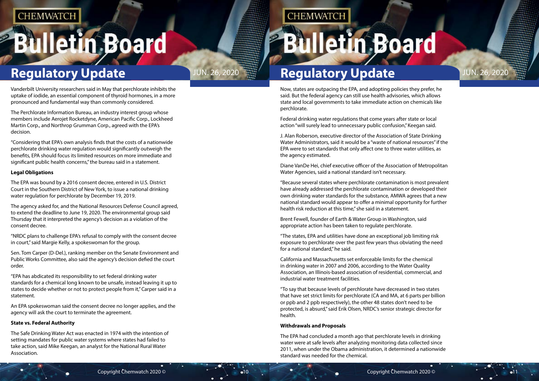# **Bulletin Board**

## **Regulatory Update JUN. 26, 2020 Regulatory Update** JUN. 26, 2020

Now, states are outpacing the EPA, and adopting policies they prefer, he said. But the federal agency can still use health advisories, which allows state and local governments to take immediate action on chemicals like perchlorate.

Federal drinking water regulations that come years after state or local action "will surely lead to unnecessary public confusion," Keegan said.

J. Alan Roberson, executive director of the Association of State Drinking Water Administrators, said it would be a "waste of national resources" if the EPA were to set standards that only affect one to three water utilities, as the agency estimated.

Diane VanDe Hei, chief executive officer of the Association of Metropolitan Water Agencies, said a national standard isn't necessary.

"Because several states where perchlorate contamination is most prevalent have already addressed the perchlorate contamination or developed their own drinking water standards for the substance, AMWA agrees that a new national standard would appear to offer a minimal opportunity for further health risk reduction at this time," she said in a statement.

Brent Fewell, founder of Earth & Water Group in Washington, said appropriate action has been taken to regulate perchlorate.

"The states, EPA and utilities have done an exceptional job limiting risk exposure to perchlorate over the past few years thus obviating the need for a national standard," he said.

California and Massachusetts set enforceable limits for the chemical in drinking water in 2007 and 2006, according to the Water Quality Association, an Illinois-based association of residential, commercial, and industrial water treatment facilities.

"To say that because levels of perchlorate have decreased in two states that have set strict limits for perchlorate (CA and MA, at 6 parts per billion or ppb and 2 ppb respectively), the other 48 states don't need to be protected, is absurd," said Erik Olsen, NRDC's senior strategic director for health.

#### **Withdrawals and Proposals**

The [EPA had](https://news.bloomberglaw.com/environment-and-energy/epa-says-perchlorate-largely-below-safe-levels-in-tap-water?context=search&index=0) concluded a month ago that perchlorate levels in drinking water were at safe levels after [analyzing](https://www.epa.gov/sites/production/files/2020-05/documents/perchlorate_reductions_5.14.20.pdf) monitoring data collected since 2011, when under the Obama administration, it determined a nationwide standard was needed for the chemical.



Vanderbilt University researchers [said](https://news.vanderbilt.edu/2020/05/26/new-research-reveals-environmental-pollutant-in-drinking-water-is-more-dangerous-than-previously-understood/) in May that perchlorate inhibits the uptake of iodide, an essential component of thyroid hormones, in a more pronounced and fundamental way than commonly considered.

The Perchlorate Information Bureau, an industry interest group whose members include Aerojet Rocketdyne, American Pacific Corp., Lockheed Martin Corp., and Northrop Grumman Corp., agreed with the EPA's decision.

"Considering that EPA's own analysis finds that the costs of a nationwide perchlorate drinking water regulation would significantly outweigh the benefits, EPA should focus its limited resources on more immediate and significant public health concerns," the bureau said in a statement.

#### **Legal Obligations**

The EPA was bound by a 2016 [consent decree,](https://www.bloomberglaw.com/public/document/NaturalResourcesDefenseCouncilIncvUnitedStatesEnvironmentalProtec/7?doc_id=X4NOU2MID3P9F7QN03LDI7RQCNT?fmt=pdf) entered in U.S. District Court in the Southern District of New York, to issue a national drinking water regulation for perchlorate by December 19, 2019.

The agency asked for, and the National Resources Defense Council agreed, to extend the deadline to June 19, 2020. The environmental group said Thursday that it interpreted the agency's decision as a violation of the consent decree.

"NRDC plans to challenge EPA's refusal to comply with the consent decree in court," said Margie Kelly, a spokeswoman for the group.

Sen. Tom Carper (D-Del.), ranking member on the Senate Environment and Public Works Committee, also said the agency's decision defied the court order.

"EPA has abdicated its responsibility to set federal drinking water standards for a chemical long known to be unsafe, instead leaving it up to states to decide whether or not to protect people from it," Carper said in a statement.

An EPA spokeswoman said the consent decree no longer applies, and the agency will ask the court to terminate the agreement.

#### **State vs. Federal Authority**

The Safe Drinking Water Act was enacted in 1974 with the intention of setting mandates for public water systems where states had failed to take action, said Mike Keegan, an analyst for the National Rural Water Association.

## **CHEMWATCH**

# **Illetin Board**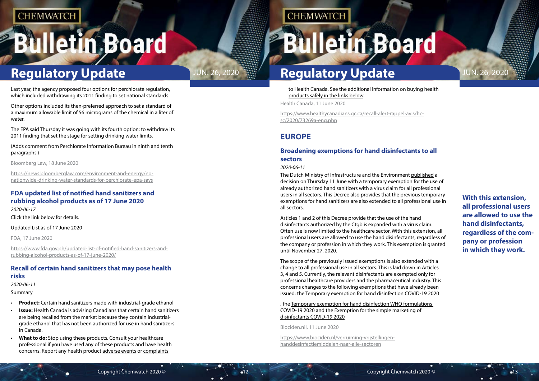# <span id="page-6-0"></span>**Bulletin Board**



**With this extension, all professional users are allowed to use the hand disinfectants, regardless of the company or profession in which they work.**

## **Regulatory Update Regulatory Update**

to Health Canada. See the additional information on buying health products safely in the links below.

Health Canada, 11 June 2020

[https://www.healthycanadians.gc.ca/recall-alert-rappel-avis/hc](https://www.healthycanadians.gc.ca/recall-alert-rappel-avis/hc-sc/2020/73269a-eng.php)[sc/2020/73269a-eng.php](https://www.healthycanadians.gc.ca/recall-alert-rappel-avis/hc-sc/2020/73269a-eng.php)

## **EUROPE**

### **Broadening exemptions for hand disinfectants to all sectors**

*2020-06-11*

The Dutch Ministry of Infrastructure and the Environment [published](https://zoek.officielebekendmakingen.nl/stcrt-2020-31387.html) a [decision](https://zoek.officielebekendmakingen.nl/stcrt-2020-31387.html) on Thursday 11 June with a temporary exemption for the use of already authorized hand sanitizers with a virus claim for all professional users in all sectors. This Decree also provides that the previous temporary exemptions for hand sanitizers are also extended to all professional use in all sectors.

Articles 1 and 2 of this Decree provide that the use of the hand disinfectants authorized by the Ctgb is expanded with a virus claim. Often use is now limited to the healthcare sector. With this extension, all professional users are allowed to use the hand disinfectants, regardless of the company or profession in which they work. This exemption is granted until November 27, 2020.

The scope of the previously issued exemptions is also extended with a change to all professional use in all sectors. This is laid down in Articles 3, 4 and 5. Currently, the relevant disinfectants are exempted only for professional healthcare providers and the pharmaceutical industry. This concerns changes to the following exemptions that have already been issued: the [Temporary exemption for hand disinfection COVID-19 2020](https://zoek.officielebekendmakingen.nl/stcrt-2020-16831.html)

, the [Temporary exemption for hand disinfection WHO formulations](https://zoek.officielebekendmakingen.nl/stcrt-2020-17248.html)  [COVID-19 2020 a](https://zoek.officielebekendmakingen.nl/stcrt-2020-17248.html)nd the [Exemption for the simple marketing of](https://zoek.officielebekendmakingen.nl/stcrt-2020-20843.html)  [disinfectants COVID-19 2020](https://zoek.officielebekendmakingen.nl/stcrt-2020-20843.html)

Biociden.nil, 11 June 2020

[https://www.biociden.nl/verruiming-vrijstellingen](https://www.biociden.nl/verruiming-vrijstellingen-handdesinfectiemiddelen-naar-alle-sectoren)[handdesinfectiemiddelen-naar-alle-sectoren](https://www.biociden.nl/verruiming-vrijstellingen-handdesinfectiemiddelen-naar-alle-sectoren)

Last year, the agency [proposed](https://news.bloomberglaw.com/environment-and-energy/epa-unveils-long-awaited-rocket-fuel-regulations?context=article-related) four options for perchlorate regulation, which included withdrawing its 2011 finding to set national standards.

Other options included its then-preferred approach to set a standard of a maximum allowable limit of 56 micrograms of the chemical in a liter of water.

The EPA said Thursday it was going with its fourth option: to withdraw its 2011 finding that set the stage for setting drinking water limits.

(Adds comment from Perchlorate Information Bureau in ninth and tenth paragraphs.)

Bloomberg Law, 18 June 2020

[https://news.bloomberglaw.com/environment-and-energy/no](https://news.bloomberglaw.com/environment-and-energy/no-nationwide-drinking-water-standards-for-perchlorate-epa-says)[nationwide-drinking-water-standards-for-perchlorate-epa-says](https://news.bloomberglaw.com/environment-and-energy/no-nationwide-drinking-water-standards-for-perchlorate-epa-says)

### **FDA updated list of notified hand sanitizers and rubbing alcohol products as of 17 June 2020**

*2020-06-17* Click the link below for details.

[Updated List as of 17 June 2020](https://drive.google.com/open?id=1popNd-Qd2z8vcfg7zuGysgkmE2VLCXzt)

FDA, 17 June 2020

[https://www.fda.gov.ph/updated-list-of-notified-hand-sanitizers-and](https://www.fda.gov.ph/updated-list-of-notified-hand-sanitizers-and-rubbing-alcohol-products-as-of-17-june-2020/)[rubbing-alcohol-products-as-of-17-june-2020/](https://www.fda.gov.ph/updated-list-of-notified-hand-sanitizers-and-rubbing-alcohol-products-as-of-17-june-2020/)

### **Recall of certain hand sanitizers that may pose health risks**

*2020-06-11*

Summary

- **Product:** Certain hand sanitizers made with industrial-grade ethanol
- **Issue:** Health Canada is advising Canadians that certain hand sanitizers are being recalled from the market because they contain industrialgrade ethanol that has not been authorized for use in hand sanitizers in Canada.
- **What to do:** Stop using these products. Consult your healthcare professional if you have used any of these products and have health concerns. Report any health product [adverse events](https://www.canada.ca/en/health-canada/services/drugs-health-products/medeffect-canada/adverse-reaction-reporting.html) or [complaints](https://healthycanadians.gc.ca/apps/radar/MD-IM-0005.08.html)

## **CHEMWATCH**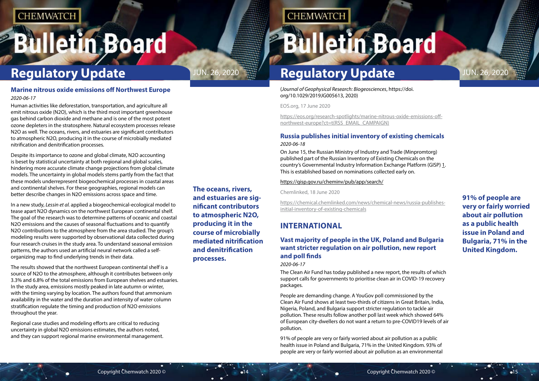# <span id="page-7-0"></span>**Bulletin Board**

**91% of people are very or fairly worried about air pollution as a public health issue in Poland and Bulgaria, 71% in the United Kingdom.**

**The oceans, rivers, and estuaries are significant contributors to atmospheric N2O, producing it in the course of microbially mediated nitrification and denitrification processes.**

## **CHEMWATCH**

**Bulletin Board** 

# JUN. 26, 2020 JUN. 26, 2020 Regulatory Update

## **Regulatory Update Regulatory Update**

(*Journal of Geophysical Research: Biogeosciences*, [https://doi.](https://doi.org/10.1029/2019JG005613) [org/10.1029/2019JG005613,](https://doi.org/10.1029/2019JG005613) 2020)

EOS.org, 17 June 2020

[https://eos.org/research-spotlights/marine-nitrous-oxide-emissions-off](https://eos.org/research-spotlights/marine-nitrous-oxide-emissions-off-northwest-europe?ct=t(RSS_EMAIL_CAMPAIGN))[northwest-europe?ct=t\(RSS\\_EMAIL\\_CAMPAIGN\)](https://eos.org/research-spotlights/marine-nitrous-oxide-emissions-off-northwest-europe?ct=t(RSS_EMAIL_CAMPAIGN))

## **Russia publishes initial inventory of existing chemicals**

*2020-06-18*

On June 15, the Russian Ministry of Industry and Trade (Minpromtorg) published part of the Russian Inventory of Existing Chemicals on the country's Governmental Industry Information Exchange Platform (GISP) [1.](https://gisp.gov.ru/cheminv/pub/app/search/) This is established based on nominations collected early on.

<https://gisp.gov.ru/cheminv/pub/app/search/>

Chemlinked, 18 June 2020

[https://chemical.chemlinked.com/news/chemical-news/russia-publishes](https://chemical.chemlinked.com/news/chemical-news/russia-publishes-initial-inventory-of-existing-chemicals)[initial-inventory-of-existing-chemicals](https://chemical.chemlinked.com/news/chemical-news/russia-publishes-initial-inventory-of-existing-chemicals)

## **INTERNATIONAL**

### **Vast majority of people in the UK, Poland and Bulgaria want stricter regulation on air pollution, new report and poll finds**

*2020-06-17*

The [Clean Air Fund](https://www.cleanairfund.org/) has today published [a new report, the results of which](https://www.cleanairfund.org/assets/documents/Clean-Air-Fund-Breathing-Space-Report-June-2020.pdf)  [support calls for governments to prioritise clean air in COVID-19 recovery](https://www.cleanairfund.org/assets/documents/Clean-Air-Fund-Breathing-Space-Report-June-2020.pdf)  [packages](https://www.cleanairfund.org/assets/documents/Clean-Air-Fund-Breathing-Space-Report-June-2020.pdf).

People are demanding change. [A YouGov poll commissioned by the](https://www.cleanairfund.org/assets/documents/Clean-Air-Fund-Breathing-Space-Press-Release-June-2020.pdf)  [Clean Air Fund shows](https://www.cleanairfund.org/assets/documents/Clean-Air-Fund-Breathing-Space-Press-Release-June-2020.pdf) at least two-thirds of citizens in Great Britain, India, Nigeria, Poland, and Bulgaria support stricter regulation to tackle air pollution. [These results follow another poll last week which showed 64%](https://epha.org/no-going-back-to-pre-covid-air-pollution-levels-opinion-poll-finds/)  [of European city-dwellers do not want a return to pre-COVID19 levels of air](https://epha.org/no-going-back-to-pre-covid-air-pollution-levels-opinion-poll-finds/) [pollution.](https://epha.org/no-going-back-to-pre-covid-air-pollution-levels-opinion-poll-finds/)

91% of people are very or fairly worried about air pollution as a public health issue in Poland and Bulgaria, 71% in the United Kingdom. 93% of people are very or fairly worried about air pollution as an environmental



### **Marine nitrous oxide emissions off Northwest Europe** *2020-06-17*

Human activities like deforestation, transportation, and agriculture all emit [nitrous oxide](https://eos.org/research-spotlights/first-near-global-measurements-of-isotopic-nitrous-oxide) (N2O), which is the third most important greenhouse gas behind carbon dioxide and methane and is one of the most potent ozone depleters in the stratosphere. Natural ecosystem processes release N2O as well. The oceans, rivers, and estuaries are significant contributors to atmospheric N2O, producing it in the course of [microbially mediated](https://eos.org/research-spotlights/high-arctic-emissions-of-a-strong-greenhouse-gas)  [nitrification and denitrification](https://www.nature.com/scitable/knowledge/library/the-nitrogen-cycle-processes-players-and-human-15644632/) processes.

Despite its importance to ozone and global climate, N2O accounting is beset by statistical uncertainty at both [regional](https://eos.org/articles/shedding-new-light-on-the-nitrogen-cycle-in-the-dark-ocean) and global scales, hindering more accurate climate change projections from global climate models. The uncertainty in global models stems partly from the fact that these models underrepresent biogeochemical processes in coastal areas and continental shelves. For these geographies, regional models can better describe changes in N2O emissions across space and time.

In a new study, *[Lessin et al.](https://doi.org/10.1029/2019JG005613)* applied a [biogeochemical-ecological model](https://www.pml.ac.uk/Modelling_at_PML/Models/ERSEM) to tease apart N2O dynamics on the [northwest European continental shelf.](https://eos.org/research-spotlights/uncertainty-evaluations-improve-biogeochemical-simulations) The goal of the research was to determine patterns of oceanic and coastal N2O emissions and the causes of seasonal fluctuations and to quantify N2O contributions to the atmosphere from the area studied. The group's modeling results were supported by observational data collected during four research cruises in the study area. To understand seasonal emission patterns, the authors used an artificial neural network called a [self](https://towardsdatascience.com/self-organizing-maps-ff5853a118d4)[organizing map](https://towardsdatascience.com/self-organizing-maps-ff5853a118d4) to find underlying trends in their data.

The results showed that the northwest European continental shelf is a source of N2O to the atmosphere, although it contributes between only 3.3% and 6.8% of the total emissions from European shelves and estuaries. In the study area, emissions mostly peaked in late autumn or winter, with the timing varying by location. The authors found that ammonium availability in the water and the duration and intensity of water column stratification regulate the timing and production of N2O emissions throughout the year.

Regional case studies and modeling efforts are critical to reducing uncertainty in global N2O emissions estimates, the authors noted, and they can support regional marine environmental management.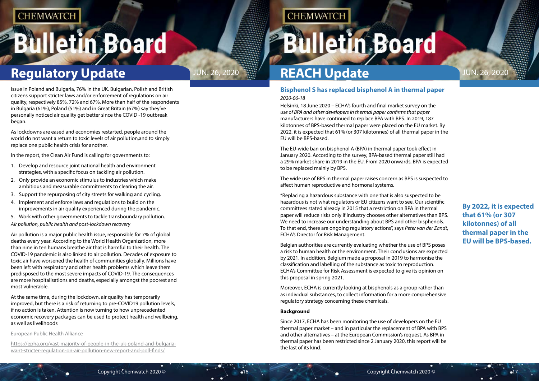# <span id="page-8-0"></span>**Bulletin Board**



Jun. 26, 2020

**By 2022, it is expected that 61% (or 307 kilotonnes) of all thermal paper in the EU will be BPS-based.**

## **Regulatory Update**

### **Bisphenol S has replaced bisphenol A in thermal paper** *2020-06-18*

Helsinki, 18 June 2020 – ECHA's fourth and final market survey on the *use of BPA and other developers in thermal paper confirms that paper* manufacturers have continued to replace BPA with BPS. In 2019, 187 kilotonnes of BPS-based thermal paper were placed on the EU market. By 2022, it is expected that 61% (or 307 kilotonnes) of all thermal paper in the EU will be BPS-based.

The EU-wide ban on bisphenol A (BPA) in thermal paper took effect in January 2020. According to the survey, BPA-based thermal paper still had a 29% market share in 2019 in the EU. From 2020 onwards, BPA is expected to be replaced mainly by BPS.

The wide use of BPS in thermal paper raises concern as BPS is suspected to affect human reproductive and hormonal systems.

"Replacing a hazardous substance with one that is also suspected to be hazardous is not what regulators or EU citizens want to see. Our scientific committees stated already in 2015 that a restriction on BPA in thermal paper will reduce risks only if industry chooses other alternatives than BPS. We need to increase our understanding about BPS and other bisphenols. To that end, there are ongoing regulatory actions", says *Peter van der Zandt*, ECHA's Director for Risk Management.

Belgian authorities are currently evaluating whether the use of BPS poses a risk to human health or the environment. Their conclusions are expected by 2021. In addition, Belgium made a proposal in 2019 to harmonise the classification and labelling of the substance as toxic to reproduction. ECHA's Committee for Risk Assessment is expected to give its opinion on this proposal in spring 2021.

Moreover, ECHA is currently looking at bisphenols as a group rather than as individual substances, to collect information for a more comprehensive regulatory strategy concerning these chemicals.

#### **Background**

Since 2017, ECHA has been monitoring the use of developers on the EU thermal paper market – and in particular the replacement of BPA with BPS and other alternatives – at the European Commission's request. As BPA in thermal paper has been restricted since 2 January 2020, this report will be the last of its kind.

## **REACH Update**

**CHEMWATCH** 

issue in Poland and Bulgaria, 76% in the UK. Bulgarian, Polish and British citizens support stricter laws and/or enforcement of regulations on air quality, respectively 85%, 72% and 67%. More than half of the respondents in Bulgaria (61%), Poland (51%) and in Great Britain (67%) say they've personally noticed air quality get better since the COVID -19 outbreak began.

As lockdowns are eased and economies restarted, people around the world do not want a return to toxic levels of air pollution,and to simply replace one public health crisis for another.

In the report, the Clean Air Fund is calling for governments to:

- 1. Develop and resource joint national health and environment strategies, with a specific focus on tackling air pollution.
- 2. Only provide an economic stimulus to industries which make ambitious and measurable commitments to clearing the air.
- 3. Support the repurposing of city streets for walking and cycling.
- 4. Implement and enforce laws and regulations to build on the improvements in air quality experienced during the pandemic.
- 5. Work with other governments to tackle transboundary pollution.

*Air pollution, public health and post-lockdown recovery*

Air pollution is a major public health issue, responsible for 7% of global deaths every year. [According to the World Health Organization,](https://www.who.int/news-room/detail/02-05-2018-9-out-of-10-people-worldwide-breathe-polluted-air-but-more-countries-are-taking-action) more than nine in ten humans breathe air that is harmful to their health. [The](https://epha.org/clean-air/)  [COVID-19 pandemic is also linked to air pollution.](https://epha.org/clean-air/) Decades of exposure to toxic air have worsened the health of communities globally. Millions have been left with respiratory and other health problems which leave them predisposed to the most severe impacts of COVID-19. The consequences are more hospitalisations and deaths, especially amongst the poorest and most vulnerable.

[At the same time, during the lockdown, air quality has temporarily](https://epha.org/covid-19-lockdown-measures-and-air-quality/)  [improved](https://epha.org/covid-19-lockdown-measures-and-air-quality/), but there is a risk of returning to pre-COVID19 pollution levels, if no action is taken. Attention is now turning to how [unprecedented](https://epha.org/we-need-a-comprehensive-sustainable-europe-2030-strategy-with-a-strong-social-dimension/)  [economic recovery packages can be used to protect health and wellbeing,](https://epha.org/we-need-a-comprehensive-sustainable-europe-2030-strategy-with-a-strong-social-dimension/)  [as well as livelihoods](https://epha.org/we-need-a-comprehensive-sustainable-europe-2030-strategy-with-a-strong-social-dimension/)

#### European Public Health Alliance

[https://epha.org/vast-majority-of-people-in-the-uk-poland-and-bulgaria](https://epha.org/vast-majority-of-people-in-the-uk-poland-and-bulgaria-want-stricter-regulation-on-air-pollution-new-report-and-poll-finds/)[want-stricter-regulation-on-air-pollution-new-report-and-poll-finds/](https://epha.org/vast-majority-of-people-in-the-uk-poland-and-bulgaria-want-stricter-regulation-on-air-pollution-new-report-and-poll-finds/)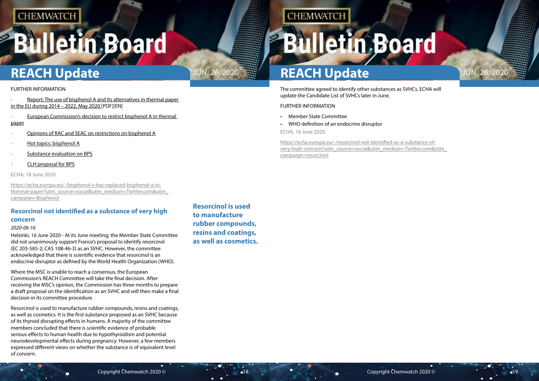# **Bulletin Board**

<span id="page-9-0"></span>

**Resorcinol is used to manufacture rubber compounds, resins and coatings, as well as cosmetics.**



The committee agreed to identify other substances as SVHCs. ECHA will update the Candidate List of SVHCs later in June.

#### FURTHER INFORMATION

Report: The use of bisphenol A and its alternatives in thermal paper [in the EU during 2014 – 2022, May 2020 \[PDF\]\[EN\]](https://echa.europa.eu/documents/10162/23294236/bpa_thermal_paper_report_2020_en.pdf/59eca269-c788-7942-5c17-3bd822d9cba0)

- European Commission's decision to restrict bisphenol A in thermal [paper](http://eur-lex.europa.eu/legal-content/EN/TXT/?uri=uriserv:OJ.L_.2016.337.01.0003.01.ENG&toc=OJ:L:2016:337:TOC)
- · [Opinions of RAC and SEAC on restrictions on bisphenol A](https://echa.europa.eu/documents/10162/13579/rac_seac_opinion_bpa_en+.pdf/9ce0977b-3540-4de0-af6d-16ad6e78ff20)
- [Hot topics: bisphenol A](https://echa.europa.eu/hot-topics/bisphenol-a)
- [Substance evaluation on BPS](https://echa.europa.eu/information-on-chemicals/evaluation/community-rolling-action-plan/corap-table/-/dislist/details/0b0236e180686aaf)
- [CLH proposal for BPS](https://echa.europa.eu/registry-of-clh-intentions-until-outcome/-/dislist/details/0b0236e182ed4414)

• [Member State Committee](https://echa.europa.eu/about-us/who-we-are/member-state-committee)

**CHEMWATCH** 

- [WHO definition of an endocrine disruptor](https://www.who.int/ipcs/publications/en/ch1.pdf?ua=1)
- ECHA, 16 June 2020

[https://echa.europa.eu/-/resorcinol-not-identified-as-a-substance-of](https://echa.europa.eu/-/resorcinol-not-identified-as-a-substance-of-very-high-concern?utm_source=social&utm_medium=Twitter.com&utm_campaign=resorcinol)[very-high-concern?utm\\_source=social&utm\\_medium=Twitter.com&utm\\_](https://echa.europa.eu/-/resorcinol-not-identified-as-a-substance-of-very-high-concern?utm_source=social&utm_medium=Twitter.com&utm_campaign=resorcinol) [campaign=resorcinol](https://echa.europa.eu/-/resorcinol-not-identified-as-a-substance-of-very-high-concern?utm_source=social&utm_medium=Twitter.com&utm_campaign=resorcinol)

### FURTHER INFORMATION

#### ECHA, 18 June 2020

[https://echa.europa.eu/-/bisphenol-s-has-replaced-bisphenol-a-in](https://echa.europa.eu/-/bisphenol-s-has-replaced-bisphenol-a-in-thermal-paper?utm_source=social&utm_medium=Twitter.com&utm_campaign=Bisphenol)[thermal-paper?utm\\_source=social&utm\\_medium=Twitter.com&utm\\_](https://echa.europa.eu/-/bisphenol-s-has-replaced-bisphenol-a-in-thermal-paper?utm_source=social&utm_medium=Twitter.com&utm_campaign=Bisphenol) [campaign=Bisphenol](https://echa.europa.eu/-/bisphenol-s-has-replaced-bisphenol-a-in-thermal-paper?utm_source=social&utm_medium=Twitter.com&utm_campaign=Bisphenol)

## **Resorcinol not identified as a substance of very high**

#### **concern**

#### *2020-06-16*

Helsinki, 16 June 2020 - At its June meeting, the Member State Committee did not unanimously support France's proposal to identify resorcinol (EC 203-585-2; CAS 108-46-3) as an SVHC. However, the committee acknowledged that there is scientific evidence that resorcinol is an endocrine disruptor as defined by the World Health Organization (WHO).

Where the MSC is unable to reach a consensus, the European Commission's REACH Committee will take the final decision. After receiving the MSC's opinion, the Commission has three months to prepare a draft proposal on the identification as an SVHC and will then make a final decision in its committee procedure.

Resorcinol is used to manufacture rubber compounds, resins and coatings, as well as cosmetics. It is the first substance proposed as an SVHC because of its thyroid disrupting effects in humans. A majority of the committee members concluded that there is scientific evidence of probable serious effects to human health due to hypothyroidism and potential neurodevelopmental effects during pregnancy. However, a few members expressed different views on whether the substance is of equivalent level of concern.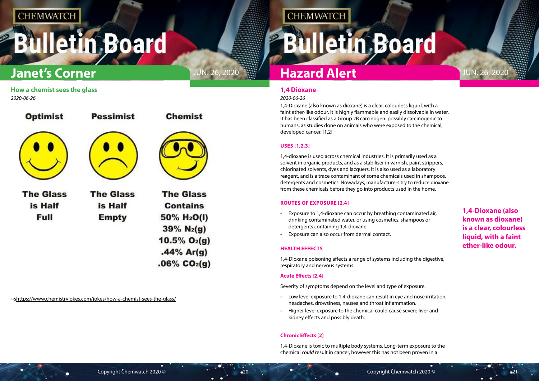# <span id="page-10-0"></span>**Bulletin Board**



Jun. 26, 2020

 $O<sub>2</sub>(g)$ 

 $.06\%$  CO<sub>2</sub>(g)

**1,4-Dioxane (also known as dioxane) is a clear, colourless liquid, with a faint ether-like odour.**

### **1,4 Dioxane**

#### *2020-06-26*

1,4-Dioxane (also known as dioxane) is a clear, colourless liquid, with a faint ether-like odour. It is highly flammable and easily dissolvable in water. It has been classified as a Group 2B carcinogen: possibly carcinogenic to humans, as studies done on animals who were exposed to the chemical, developed cancer. [1,2]

- Exposure to 1,4-dioxane can occur by breathing contaminated air, drinking contaminated water, or using cosmetics, shampoos or detergents containing 1,4-dioxane.
- Exposure can also occur from dermal contact.

### **USES [1,2,3]**

1,4-dioxane is used across chemical industries. It is primarily used as a solvent in organic products, and as a stabiliser in varnish, paint strippers, chlorinated solvents, dyes and lacquers. It is also used as a laboratory reagent, and is a trace contaminant of some chemicals used in shampoos, detergents and cosmetics. Nowadays, manufacturers try to reduce dioxane from these chemicals before they go into products used in the home.

### **ROUTES OF EXPOSURE [2,4]**

### **HEALTH EFFECTS**

1,4-Dioxane poisoning affects a range of systems including the digestive, respiratory and nervous systems.

### **Acute Effects [2,4]**

Severity of symptoms depend on the level and type of exposure.

- Low level exposure to 1,4-dioxane can result in eye and nose irritation, headaches, drowsiness, nausea and throat inflammation.
- Higher level exposure to the chemical could cause severe liver and kidney effects and possibly death.

### **Chronic Effects [2]**

1,4-Dioxane is toxic to multiple body systems. Long-term exposure to the chemical *could* result in cancer, however this has not been proven in a

## **Hazard Alert**

**How a chemist sees the glass** *2020-06-26*

| <b>Optimist</b>  | Pessimist        | <b>Chemist</b>            |
|------------------|------------------|---------------------------|
|                  |                  |                           |
| <b>The Glass</b> | <b>The Glass</b> | <b>The Glass</b>          |
| is Half          | is Half          | <b>Contains</b>           |
| Full             | <b>Empty</b>     | 50% H <sub>2</sub> O(I)   |
|                  |                  | $39\%$ N <sub>2</sub> (g) |
|                  |                  | 10.5% O <sub>2</sub> (g)  |
|                  |                  | .44% $Ar(g)$              |

~s<https://www.chemistryjokes.com/jokes/how-a-chemist-sees-the-glass/>

# **CHEMWATCH Illetin Board**

## **Janet's Corner**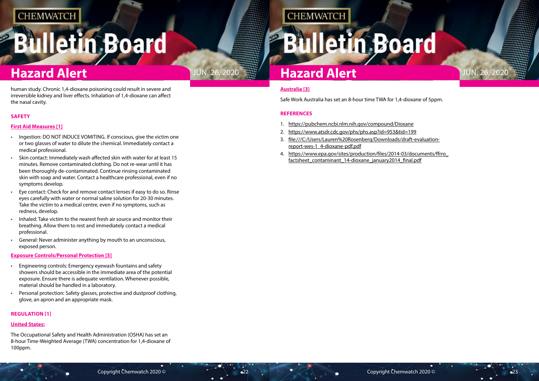# **Illetin Board**





- 1. <https://pubchem.ncbi.nlm.nih.gov/compound/Dioxane>
- 2. <https://www.atsdr.cdc.gov/phs/phs.asp?id=953&tid=199>
- 3. [file:///C:/Users/Lauren%20Rosenberg/Downloads/draft-evaluation](file:///C:\Users\Lauren%20Rosenberg\Downloads\draft-evaluation-report-wes-1_4-dioxane-pdf.pdf)[report-wes-1\\_4-dioxane-pdf.pdf](file:///C:\Users\Lauren%20Rosenberg\Downloads\draft-evaluation-report-wes-1_4-dioxane-pdf.pdf)
- 4. [https://www.epa.gov/sites/production/files/2014-03/documents/ffrro\\_](https://www.epa.gov/sites/production/files/2014-03/documents/ffrro_factsheet_contaminant_14-dioxane_january2014_final.pdf) factsheet contaminant 14-dioxane january2014 final.pdf

### **Australia [3]**

Safe Work Australia has set an 8-hour time TWA for 1,4-dioxane of 5ppm.

#### **REFERENCES**

human study. Chronic 1,4-dioxane poisoning could result in severe and irreversible kidney and liver effects. Inhalation of 1,4-dioxane can affect the nasal cavity.

### **SAFETY**

### **First Aid Measures [1]**

- Ingestion: DO NOT INDUCE VOMITING. If conscious, give the victim one or two glasses of water to dilute the chemical. Immediately contact a medical professional.
- Skin contact: Immediately wash affected skin with water for at least 15 minutes. Remove contaminated clothing. Do not re-wear until it has been thoroughly de-contaminated. Continue rinsing contaminated skin with soap and water. Contact a healthcare professional, even if no symptoms develop.
- Eye contact: Check for and remove contact lenses if easy to do so. Rinse eyes carefully with water or normal saline solution for 20-30 minutes. Take the victim to a medical centre, even if no symptoms, such as redness, develop.
- Inhaled: Take victim to the nearest fresh air source and monitor their breathing. Allow them to rest and immediately contact a medical professional.
- General: Never administer anything by mouth to an unconscious, exposed person.

#### **Exposure Controls/Personal Protection [5]**

- Engineering controls: Emergency eyewash fountains and safety showers should be accessible in the immediate area of the potential exposure. Ensure there is adequate ventilation. Whenever possible, material should be handled in a laboratory.
- Personal protection: Safety glasses, protective and dustproof clothing, glove, an apron and an appropriate mask.

#### **REGULATION [1]**

#### **United States:**

The Occupational Safety and Health Administration (OSHA) has set an 8-hour Time-Weighted Average (TWA) concentration for 1,4-dioxane of 100ppm.

# **CHEMWATCH Iletin Board**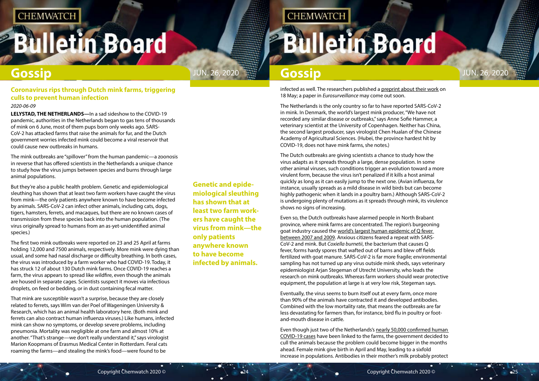# <span id="page-12-0"></span>**Bulletin Board**



**Genetic and epidemiological sleuthing has shown that at least two farm workers have caught the virus from mink—the only patients anywhere known to have become infected by animals.**

**CHEMWATCH** 

infected as well. The researchers published a [preprint about their work](https://www.biorxiv.org/content/10.1101/2020.05.18.101493v1) on 18 May; a paper in *Eurosurveillance* may come out soon.

The Netherlands is the only country so far to have reported SARS-CoV-2 in mink. In Denmark, the world's largest mink producer, "We have not recorded any similar disease or outbreaks," says Anne Sofie Hammer, a veterinary scientist at the University of Copenhagen. Neither has China, the second largest producer, says virologist Chen Hualan of the Chinese Academy of Agricultural Sciences. (Hubei, the province hardest hit by COVID-19, does not have mink farms, she notes.)

The Dutch outbreaks are giving scientists a chance to study how the virus adapts as it spreads through a large, dense population. In some other animal viruses, such conditions trigger an evolution toward a more virulent form, because the virus isn't penalized if it kills a host animal quickly as long as it can easily jump to the next one. (Avian influenza, for instance, usually spreads as a mild disease in wild birds but can become highly pathogenic when it lands in a poultry barn.) Although SARS-CoV-2 is undergoing plenty of mutations as it spreads through mink, its virulence shows no signs of increasing.

Even so, the Dutch outbreaks have alarmed people in North Brabant province, where mink farms are concentrated. The region's burgeoning goat industry caused the [world's largest human epidemic of Q fever](https://science.sciencemag.org/content/327/5963/266.1)  [between 2007 and 2009.](https://science.sciencemag.org/content/327/5963/266.1) Anxious citizens feared a repeat with SARS-CoV-2 and mink. But *Coxiella burnetii*, the bacterium that causes Q fever, forms hardy spores that wafted out of barns and blew off fields fertilized with goat manure. SARS-CoV-2 is far more fragile; environmental sampling has not turned up any virus outside mink sheds, says veterinary epidemiologist Arjan Stegeman of Utrecht University, who leads the research on mink outbreaks. Whereas farm workers should wear protective equipment, the population at large is at very low risk, Stegeman says.

Eventually, the virus seems to burn itself out at every farm, once more than 90% of the animals have contracted it and developed antibodies. Combined with the low mortality rate, that means the outbreaks are far less devastating for farmers than, for instance, bird flu in poultry or footand-mouth disease in cattle.

Even though just two of the Netherlands's [nearly 50,000 confirmed human](https://www.rivm.nl/en/novel-coronavirus-covid-19/current-information)  [COVID-19 cases](https://www.rivm.nl/en/novel-coronavirus-covid-19/current-information) have been linked to the farms, the government decided to cull the animals because the problem could become bigger in the months ahead. Female mink give birth in April and May, leading to a sixfold increase in populations. Antibodies in their mother's milk probably protect

### **Coronavirus rips through Dutch mink farms, triggering culls to prevent human infection**

#### *2020-06-09*

**LELYSTAD, THE NETHERLANDS—**In a sad sideshow to the COVID-19 pandemic, authorities in the Netherlands began to gas tens of thousands of mink on 6 June, most of them pups born only weeks ago. SARS-CoV-2 has attacked farms that raise the animals for fur, and the Dutch government worries infected mink could become a viral reservoir that could cause new outbreaks in humans.

The mink outbreaks are "spillover" from the human pandemic—a zoonosis in reverse that has offered scientists in the Netherlands a unique chance to study how the virus jumps between species and burns through large animal populations.

But they're also a public health problem. Genetic and epidemiological sleuthing has shown that at least two farm workers have caught the virus from mink—the only patients anywhere known to have become infected by animals. SARS-CoV-2 can infect other animals, including cats, dogs, tigers, hamsters, ferrets, and macaques, but there are no known cases of transmission from these species back into the human population. (The virus originally spread to humans from an as-yet-unidentified animal species.)

The first two mink outbreaks were reported on 23 and 25 April at farms holding 12,000 and 7500 animals, respectively. More mink were dying than usual, and some had nasal discharge or difficulty breathing. In both cases, the virus was introduced by a farm worker who had COVID-19. Today, it has struck 12 of about 130 Dutch mink farms. Once COVID-19 reaches a farm, the virus appears to spread like wildfire, even though the animals are housed in separate cages. Scientists suspect it moves via infectious droplets, on feed or bedding, or in dust containing fecal matter.

That mink are susceptible wasn't a surprise, because they are closely related to ferrets, says Wim van der Poel of Wageningen University & Research, which has an animal health laboratory here. (Both mink and ferrets can also contract human influenza viruses.) Like humans, infected mink can show no symptoms, or develop severe problems, including pneumonia. Mortality was negligible at one farm and almost 10% at another. "That's strange—we don't really understand it," says virologist Marion Koopmans of Erasmus Medical Center in Rotterdam. Feral cats roaming the farms—and stealing the mink's food—were found to be

## **Gossip**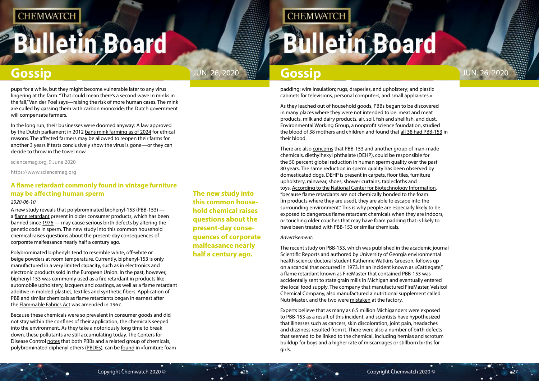# <span id="page-13-0"></span>**Bulletin Board**

## **Gossip** JUN. 26, 2020 **Gossip Gossip** JUN. 26, 2020

**The new study into this common household chemical raises questions about the present-day consequences of corporate malfeasance nearly half a century ago.**

**CHEMWATCH** 

padding; wire insulation; rugs, draperies, and upholstery; and plastic cabinets for televisions, personal computers, and small appliances.»

As they leached out of household goods, PBBs began to be discovered in many places where they were not intended to be: meat and meat products, milk and dairy products, air, soil, fish and shellfish, and dust. Environmental Working Group, a nonprofit science foundation, studied the blood of 38 mothers and children and found that [all 38 had PBB-153](https://www.ewg.org/sites/humantoxome/chemicals/chemical.php?chemid=100246) in their blood.

There are also [concerns](https://www.aaha.org/publications/newstat/articles/2019-03/study-if-either-of-you-ever-want-offspring-you-might-want-to-get-off-that-couch/) that PBB-153 and another group of man-made chemicals, diethylhexyl phthalate (DEHP), could be responsible for the 50 percent global reduction in human sperm quality over the past 80 years. The same reduction in sperm quality has been observed by domesticated dogs. DEHP is present in carpets, floor tiles, furniture upholstery, rainwear, shoes, shower curtains, tablecloths and toys. [According to the National Center for Biotechnology Information,](https://www.ncbi.nlm.nih.gov/pmc/articles/PMC4348733/) "because flame retardants are not chemically bonded to the foam [in products where they are used], they are able to escape into the surrounding environment." This is why people are especially likely to be exposed to dangerous flame retardant chemicals when they are indoors, or touching older couches that may have foam padding that is likely to have been treated with PBB-153 or similar chemicals.

#### *Advertisement:*

The recent [study](https://www.nature.com/articles/s41598-020-65593-x?draft=collection) on PBB-153, which was published in the academic journal Scientific Reports and authored by University of Georgia environmental health science doctoral student Katherine Watkins Greeson, follows up on a scandal that occurred in 1973. In an incident known as «Cattlegate," a flame retardant known as FireMaster that contained PBB-153 was accidentally sent to state grain mills in Michigan and eventually entered the local food supply. The company that manufactured FireMaster, Velsicol Chemical Company, also manufactured a nutritional supplement called NutriMaster, and the two were [mistaken](https://www.nature.com/articles/s41598-020-65593-x) at the factory.

Experts believe that as many as 6.5 million Michiganders were exposed to PBB-153 as a result of this incident, and scientists have hypothesized that illnesses such as cancers, skin discoloration, joint pain, headaches and dizziness resulted from it. There were also a number of birth defects that seemed to be linked to the chemical, including hernias and scrotum buildup for boys and a higher rate of miscarriages or stillborn births for girls.



pups for a while, but they might become vulnerable later to any virus lingering at the farm. "That could mean there's a second wave in minks in the fall," Van der Poel says—raising the risk of more human cases. The mink are culled by gassing them with carbon monoxide; the Dutch government will compensate farmers.

In the long run, their businesses were doomed anyway: A law approved by the Dutch parliament in 2012 [bans mink farming as of 2024](https://www.eurogroupforanimals.org/news/dutch-court-confirms-ban-mink-farming-netherlands) for ethical reasons. The affected farmers may be allowed to reopen their farms for another 3 years if tests conclusively show the virus is gone—or they can decide to throw in the towel now.

sciencemag.org, 9 June 2020

https://www.sciencemag.org

### **A flame retardant commonly found in vintage furniture may be affecting human sperm**

#### *2020-06-10*

A new study reveals that polybrominated biphenyl-153 (PBB-153) a [flame retardant](https://www.salon.com/2010/06/10/dangers_flame_retardants/) present in older consumer products, which has been banned since [1976](https://www.atsdr.cdc.gov/toxfaqs/tfacts68.pdf) — may cause serious birth defects by altering the genetic code in sperm. The new study into this common household chemical raises questions about the present-day consequences of corporate malfeasance nearly half a century ago.

Polybrominated biphenyls tend to resemble white, off-white or beige powders at room temperature. Currently, biphenyl-153 is only manufactured in a very limited capacity, such as in electronics and electronic products sold in the European Union. In the past, however, biphenyl-153 was commonly used as a fire retardant in products like automobile upholstery, lacquers and coatings, as well as a flame retardant additive in molded plastics, textiles and synthetic fibers. Application of PBB and similar chemicals as flame retardants began in earnest after the [Flammable Fabrics Act](https://www.law.cornell.edu/uscode/text/15/chapter-25) was amended in 1967.

Because these chemicals were so prevalent in consumer goods and did not stay within the confines of their application, the chemicals seeped into the environment. As they take a notoriously long time to break down, these pollutants are still accumulating today. The Centers for Disease Control [notes](https://www.cdc.gov/biomonitoring/PBDEs_FactSheet.html) that both PBBs and a related group of chemicals, polybrominated diphenyl ethers [\(PBDEs\)](https://www.salon.com/2018/01/14/the-toxic-chemical-whack-a-mole-game_partner/), can be [found](https://www.salon.com/2018/01/14/the-toxic-chemical-whack-a-mole-game_partner/) in «furniture foam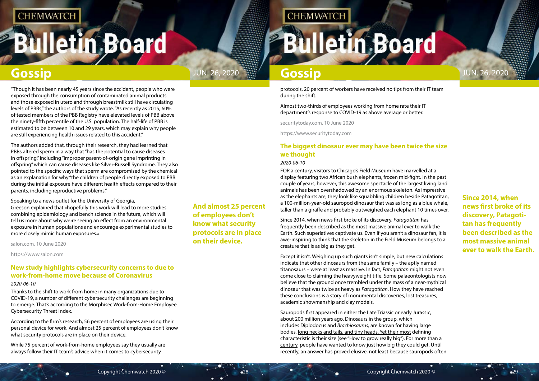# **Bulletin Board**

**Since 2014, when news first broke of its discovery, Patagotitan has frequently been described as the most massive animal ever to walk the Earth.**

<span id="page-14-0"></span>

### **And almost 25 percent of employees don't know what security protocols are in place on their device.**

protocols, 20 percent of workers have received no tips from their IT team during the shift.

Almost two-thirds of employees working from home rate their IT department's response to COVID-19 as above average or better.

securitytoday.com, 10 June 2020

**CHEMWATCH** 

https://www.securitytoday.com

## **The biggest dinosaur ever may have been twice the size we thought**

### *2020-06-10*

FOR a century, visitors to Chicago's Field Museum have marvelled at a display featuring two African bush elephants, frozen mid-fight. In the past couple of years, however, this awesome spectacle of the largest living land animals has been overshadowed by an enormous skeleton. As impressive as the elephants are, they look like squabbling children beside [Patagotitan,](https://www.newscientist.com/article/2143268-largest-ever-dinosaur-may-have-been-as-long-as-7-elephants/) a 100-million-year-old sauropod dinosaur that was as long as a blue whale, taller than a giraffe and probably outweighed each elephant 10 times over.

Since 2014, when news first broke of its discovery, *Patagotitan* has frequently been described as the most massive animal ever to walk the Earth. Such superlatives captivate us. Even if you aren't a dinosaur fan, it is awe-inspiring to think that the skeleton in the Field Museum belongs to a creature that is as big as they get.

Except it isn't. Weighing up such giants isn't simple, but new calculations indicate that other dinosaurs from the same family – the aptly named titanosaurs – were at least as massive. In fact, *Patagotitan* might not even come close to claiming the heavyweight title. Some palaeontologists now believe that the ground once trembled under the mass of a near-mythical dinosaur that was twice as heavy as *Patagotitan*. How they have reached these conclusions is a story of monumental discoveries, lost treasures, academic showmanship and clay models.

Sauropods first appeared in either the Late Triassic or early Jurassic, about 200 million years ago. Dinosaurs in the group, which includes [Diplodocus](https://www.newscientist.com/article/2173671-new-dinosaur-fossil-explains-how-diplodocus-evolved-to-be-so-massive/) and *Brachiosaurus,* are known for having large bodies, [long necks and tails, and tiny heads. Yet their most](https://www.newscientist.com/article/mg21929262-300-a-tall-tale-how-the-sauropod-got-its-neck/) defining characteristic is their size (see "How to grow really big"). [For more than a](https://www.ncbi.nlm.nih.gov/pubmed/17832415)  [century](https://www.ncbi.nlm.nih.gov/pubmed/17832415), people have wanted to know just how big they could get. Until recently, an answer has proved elusive, not least because sauropods often

"Though it has been nearly 45 years since the accident, people who were exposed through the consumption of contaminated animal products and those exposed in utero and through breastmilk still have circulating levels of PBBs," the authors of the study wrote. "As recently as 2015, 60% of tested members of the PBB Registry have elevated levels of PBB above the ninety-fifth percentile of the U.S. population. The half-life of PBB is estimated to be between 10 and 29 years, which may explain why people are still experiencing health issues related to this accident."

The authors added that, through their research, they had learned that PBBs altered sperm in a way that "has the potential to cause diseases in offspring," including "improper parent-of-origin gene imprinting in offspring" which can cause diseases like Silver-Russell Syndrome. They also pointed to the specific ways that sperm are compromised by the chemical as an explanation for why "the children of people directly exposed to PBB during the initial exposure have different health effects compared to their parents, including reproductive problems."

Speaking to a news outlet for the University of Georgia, Greeson [explained](https://news.uga.edu/study-birth-defects-flame-retardant/) that «hopefully this work will lead to more studies combining epidemiology and bench science in the future, which will tell us more about why we›re seeing an effect from an environmental exposure in human populations and encourage experimental studies to more closely mimic human exposures.»

salon.com, 10 June 2020

https://www.salon.com

### **New study highlights cybersecurity concerns to due to work-from-home move because of Coronavirus**

#### *2020-06-10*

Thanks to the shift to work from home in many organizations due to COVID-19, a number of different cybersecurity challenges are beginning to emerge. That's according to the Morphisec Work-from-Home Employee Cybersecurity Threat Index.

According to the firm's research, 56 percent of employees are using their personal device for work. And almost 25 percent of employees don't know what security protocols are in place on their device.

While 75 percent of work-from-home employees say they usually are always follow their IT team's advice when it comes to cybersecurity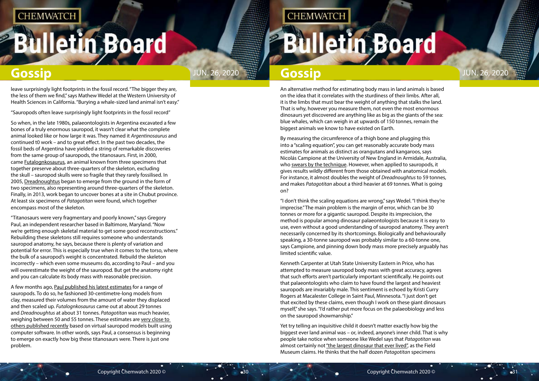# **Bulletin Board**

An alternative method for estimating body mass in land animals is based on the idea that it correlates with the sturdiness of their limbs. After all, it is the limbs that must bear the weight of anything that stalks the land. That is why, however you measure them, not even the most enormous dinosaurs yet discovered are anything like as big as the giants of the sea: blue whales, which can weigh in at upwards of 150 tonnes, remain the biggest animals we know to have existed on Earth.

By measuring the circumference of a thigh bone and plugging this into a "scaling equation", you can get reasonably accurate body mass estimates for animals as distinct as orangutans and kangaroos, says Nicolás Campione at the University of New England in Armidale, Australia, who [swears by the technique](http://dx.doi.org/10.1017/pab.2017.9). However, when applied to sauropods, it gives results wildly different from those obtained with anatomical models. For instance, it almost doubles the weight of *Dreadnoughtus* to 59 tonnes, and makes *Patagotitan* about a third heavier at 69 tonnes. What is going on?

"I don't think the scaling equations are wrong," says Wedel. "I think they're imprecise." The main problem is the margin of error, which can be 30 tonnes or more for a gigantic sauropod. Despite its imprecision, the method is popular among dinosaur palaeontologists because it is easy to use, even without a good understanding of sauropod anatomy. They aren't necessarily concerned by its shortcomings. Biologically and behaviourally speaking, a 30-tonne sauropod was probably similar to a 60-tonne one, says Campione, and pinning down body mass more precisely arguably has limited scientific value.

Kenneth Carpenter at Utah State University Eastern in Price, who has attempted to measure sauropod body mass with great accuracy, agrees that such efforts aren't particularly important scientifically. He points out that palaeontologists who claim to have found the largest and heaviest sauropods are invariably male. This sentiment is echoed by Kristi Curry Rogers at Macalester College in Saint Paul, Minnesota. "I just don't get that excited by these claims, even though I work on these giant dinosaurs myself," she says. "I'd rather put more focus on the palaeobiology and less on the sauropod showmanship."

Yet try telling an inquisitive child it doesn't matter exactly how big the biggest ever land animal was – or, indeed, anyone's inner child. That is why people take notice when someone like Wedel says that *Patagotitan* was almost certainly not ["the largest dinosaur that ever lived"](https://www.fieldmuseum.org/exhibitions/maximo-titanosaur), as the Field Museum claims. He thinks that the half dozen *Patagotitan* specimens

leave surprisingly light footprints in the fossil record. "The bigger they are, the less of them we find," says Mathew Wedel at the Western University of Health Sciences in California. "Burying a whale-sized land animal isn't easy."

"Sauropods often leave surprisingly light footprints in the fossil record"

So when, in the late 1980s, palaeontologists in Argentina excavated a few bones of a truly enormous sauropod, it wasn't clear what the complete animal looked like or how large it was. They named it *Argentinosaurus* and continued t0 work – and to great effect. In the past two decades, the fossil beds of Argentina have yielded a string of remarkable discoveries from the same group of sauropods, the titanosaurs. First, in 2000, came [Futalognkosaurus,](http://www.scielo.br/scielo.php?script=sci_arttext&pid=S0001-37652007000300013) an animal known from three specimens that together preserve about three-quarters of the skeleton, excluding the skull – sauropod skulls were so fragile that they rarely fossilised. In 2005, [Dreadnoughtus](https://www.newscientist.com/article/dn26147-largest-land-dinosaur-yet-makes-t-rex-look-tiny/) began to emerge from the ground in the form of two specimens, also representing around three-quarters of the skeleton. Finally, in 2013, work began to uncover bones at a site in Chubut province. At least six specimens of *Patagotitan* were found, which together encompass most of the skeleton.

"Titanosaurs were very fragmentary and poorly known," says Gregory Paul, an independent researcher based in Baltimore, Maryland. "Now we're getting enough skeletal material to get some good reconstructions." Rebuilding these skeletons still requires someone who understands sauropod anatomy, he says, because there is plenty of variation and potential for error. This is especially true when it comes to the torso, where the bulk of a sauropod's weight is concentrated. Rebuild the skeleton incorrectly – which even some museums do, according to Paul – and you will overestimate the weight of the sauropod. But get the anatomy right and you can calculate its body mass with reasonable precision.

A few months ago, [Paul published his latest estimates](https://doi.org/10.2992/007.085.0403) for a range of sauropods. To do so, he fashioned 30-centimetre-long models from clay, measured their volumes from the amount of water they displaced and then scaled up. *Futalognkosaurus* came out at about 29 tonnes and *Dreadnoughtus* at about 31 tonnes. *Patagotitan* was much heavier, weighing between 50 and 55 tonnes. These estimates are [very close to](http://dx.doi.org/10.1098/rsbl.2015.0215)  [others published recently](http://dx.doi.org/10.1098/rsbl.2015.0215) based on virtual sauropod models built using computer software. In other words, says Paul, a consensus is beginning to emerge on exactly how big these titanosaurs were. There is just one problem.

## **CHEMWATCH**

# **Illetin Board**

## **Gossip Gossip JUN. 26, 2020 <b>Gossip** Gossip JUN. 26, 2020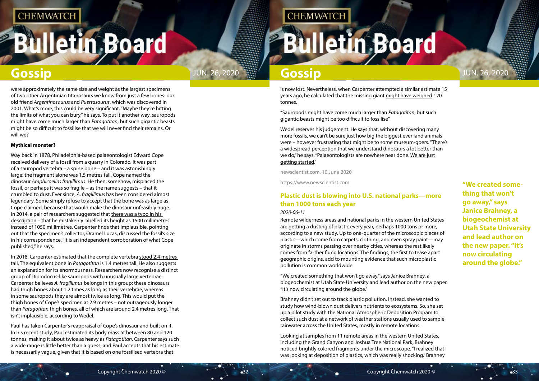# **Bulletin Board**

<span id="page-16-0"></span>

**"We created something that won't go away," says Janice Brahney, a biogeochemist at Utah State University and lead author on the new paper. "It's now circulating around the globe."**

is now lost. Nevertheless, when Carpenter attempted a similar estimate 15 years ago, he calculated that the missing giant [might have weighed](https://www.dinosaursofgardenpark.org/wp-content/uploads/2014/02/Biggest_of_the_big.pdf) 120 tonnes.

"Sauropods might have come much larger than *Patagotitan*, but such gigantic beasts might be too difficult to fossilise"

Wedel reserves his judgement. He says that, without discovering many more fossils, we can't be sure just how big the biggest ever land animals were – however frustrating that might be to some museum-goers. "There's a widespread perception that we understand dinosaurs a lot better than we do," he says. "Palaeontologists are nowhere near done. We are just [getting started.](https://www.newscientist.com/article/mg24332410-600-undiscovered-dinosaurs-we-are-entering-the-golden-era-of-fossil-finds/)"

newscientist.com, 10 June 2020

https://www.newscientist.com

### **Plastic dust is blowing into U.S. national parks—more than 1000 tons each year**

*2020-06-11*

Remote wilderness areas and national parks in the western United States are getting a dusting of plastic every year, perhaps 1000 tons or more, according to a new study. Up to one-quarter of the microscopic pieces of plastic—which come from carpets, clothing, and even spray paint—may originate in storms passing over nearby cities, whereas the rest likely comes from farther flung locations. The findings, the first to tease apart geographic origins, add to mounting evidence that such microplastic pollution is common worldwide.

"We created something that won't go away," says Janice Brahney, a biogeochemist at Utah State University and lead author on the new paper. "It's now circulating around the globe."

Brahney didn't set out to track plastic pollution. Instead, she wanted to study how wind-blown dust delivers nutrients to ecosystems. So, she set up a pilot study with the National Atmospheric Deposition Program to collect such dust at a network of weather stations usually used to sample rainwater across the United States, mostly in remote locations.

Looking at samples from 11 remote areas in the western United States, including the Grand Canyon and Joshua Tree National Park, Brahney noticed brightly colored fragments under the microscope. "I realized that I was looking at deposition of plastics, which was really shocking." Brahney

were approximately the same size and weight as the largest specimens of two other Argentinian titanosaurs we know from just a few bones: our old friend *Argentinosaurus* and *Puertasaurus*, which was discovered in 2001. What's more, this could be very significant. "Maybe they're hitting the limits of what you can bury," he says. To put it another way, sauropods might have come much larger than *Patagotitan*, but such gigantic beasts might be so difficult to fossilise that we will never find their remains. Or will we?

### **Mythical monster?**

Way back in 1878, Philadelphia-based palaeontologist Edward Cope received delivery of a fossil from a quarry in Colorado. It was part of a sauropod vertebra – a spine bone – and it was astonishingly large: the fragment alone was 1.5 metres tall. Cope named the dinosaur *Amphicoelias fragillimus*. He then, somehow, misplaced the fossil, or perhaps it was so fragile – as the name suggests – that it crumbled to dust. Ever since, *A. fragillimus* has been considered almost legendary. Some simply refuse to accept that the bone was as large as Cope claimed, because that would make the dinosaur unfeasibly huge. In 2014, a pair of researchers suggested that [there was a typo in his](https://pdfs.semanticscholar.org/e99c/f57548ebb9d923debd2c53db9d225d0dd6a1.pdf)  [description](https://pdfs.semanticscholar.org/e99c/f57548ebb9d923debd2c53db9d225d0dd6a1.pdf) – that he mistakenly labelled its height as 1500 millimetres instead of 1050 millimetres. Carpenter finds that implausible, pointing out that the specimen's collector, Oramel Lucas, discussed the fossil's size in his correspondence. "It is an independent corroboration of what Cope published," he says.

In 2018, Carpenter estimated that the complete vertebra [stood 2.4 metres](https://www.researchgate.net/publication/328411612_Maraapunisaurus_fragillimus_NG_formerly_Amphicoelias_fragillimus_a_basal_Rebbachisaurid_from_the_Morrison_Formation_Upper_Jurassic_of_Colorado)  [tall](https://www.researchgate.net/publication/328411612_Maraapunisaurus_fragillimus_NG_formerly_Amphicoelias_fragillimus_a_basal_Rebbachisaurid_from_the_Morrison_Formation_Upper_Jurassic_of_Colorado). The equivalent bone in *Patagotitan* is 1.4 metres tall. He also suggests an explanation for its enormousness. Researchers now recognise a distinct group of Diplodocus-like sauropods with unusually large vertebrae. Carpenter believes *A. fragillimus* belongs in this group; these dinosaurs had thigh bones about 1.2 times as long as their vertebrae, whereas in some sauropods they are almost twice as long. This would put the thigh bones of Cope's specimen at 2.9 metres – not outrageously longer than *Patagotitan* thigh bones, all of which are around 2.4 metres long. That isn't implausible, according to Wedel.

Paul has taken Carpenter's reappraisal of Cope's dinosaur and built on it. In his recent study, Paul estimated its body mass at between 80 and 120 tonnes, making it about twice as heavy as *Patagotitan*. Carpenter says such a wide range is little better than a guess, and Paul accepts that his estimate is necessarily vague, given that it is based on one fossilised vertebra that

## **CHEMWATCH**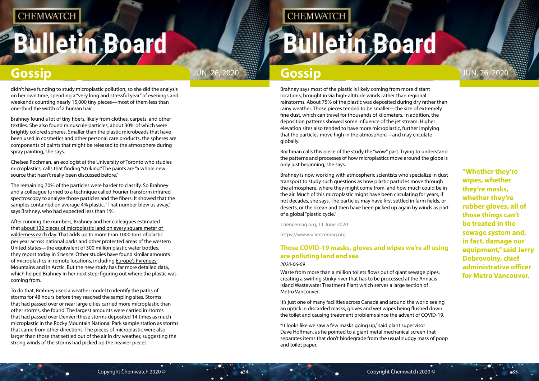# <span id="page-17-0"></span>**Bulletin Board**

**Gossip** JUN. 26, 2020 **Gossip Gossip** JUN. 26, 2020

**CHEMWATCH** 

**"Whether they're wipes, whether they're masks, whether they're rubber gloves, all of those things can't be treated in the sewage system and, in fact, damage our equipment," said Jerry Dobrovolny, chief administrative officer for Metro Vancouver.**

Brahney says most of the plastic is likely coming from more distant locations, brought in via high-altitude winds rather than regional rainstorms. About 75% of the plastic was deposited during dry rather than rainy weather. Those pieces tended to be smaller—the size of extremely fine dust, which can travel for thousands of kilometers. In addition, the deposition patterns showed some influence of the jet stream. Higher elevation sites also tended to have more microplastic, further implying that the particles move high in the atmosphere—and may circulate globally.

Rochman calls this piece of the study the "wow" part. Trying to understand the patterns and processes of how microplastics move around the globe is only just beginning, she says.

Brahney is now working with atmospheric scientists who specialize in dust transport to study such questions as how plastic particles move through the atmosphere, where they might come from, and how much could be in the air. Much of this microplastic might have been circulating for years, if not decades, she says. The particles may have first settled in farm fields, or deserts, or the ocean and then have been picked up again by winds as part of a global "plastic cycle."

sciencemag.org, 11 June 2020

https://www.sciencemag.org

### **Those COVID-19 masks, gloves and wipes we're all using are polluting land and sea**

#### *2020-06-09*

Waste from more than a million toilets flows out of giant sewage pipes, creating a swirling stinky river that has to be processed at the Annacis Island Wastewater Treatment Plant which serves a large section of Metro Vancouver.

It's just one of many facilities across Canada and around the world seeing an uptick in discarded masks, gloves and wet wipes being flushed down the toilet and causing treatment problems since the advent of COVID-19.

"It looks like we saw a few masks going up," said plant supervisor Dave Hoffman, as he pointed to a giant metal mechanical screen that separates items that don't biodegrade from the usual sludgy mass of poop and toilet paper.

didn't have funding to study microplastic pollution, so she did the analysis on her own time, spending a "very long and stressful year" of evenings and weekends counting nearly 15,000 tiny pieces—most of them less than one-third the width of a human hair.

Brahney found a lot of tiny fibers, likely from clothes, carpets, and other textiles. She also found minuscule particles, about 30% of which were brightly colored spheres. Smaller than the plastic microbeads that have been used in cosmetics and other personal care products, the spheres are components of paints that might be released to the atmosphere during spray painting, she says.

Chelsea Rochman, an ecologist at the University of Toronto who studies microplastics, calls that finding "striking." The paints are "a whole new source that hasn't really been discussed before."

The remaining 70% of the particles were harder to classify. So Brahney and a colleague turned to a technique called Fourier transform infrared spectroscopy to analyze those particles and the fibers. It showed that the samples contained on average 4% plastic. "That number blew us away," says Brahney, who had expected less than 1%.

After running the numbers, Brahney and her colleagues estimated that [about 132 pieces of microplastic land on every square meter of](https://science.sciencemag.org/cgi/doi/10.1126/science.aaz5819)  [wilderness each day.](https://science.sciencemag.org/cgi/doi/10.1126/science.aaz5819) That adds up to more than 1000 tons of plastic per year across national parks and other protected areas of the western United States—the equivalent of 300 million plastic water bottles, they report today in *Science*. Other studies have found similar amounts of microplastics in remote locations, including [Europe's Pyrenees](http://www.sciencemag.org/news/2019/04/airborne-microplastics-found-atop-france-s-remote-pyrenees-mountains)  [Mountains](http://www.sciencemag.org/news/2019/04/airborne-microplastics-found-atop-france-s-remote-pyrenees-mountains) and in Arctic. But the new study has far more detailed data, which helped Brahney in her next step: figuring out where the plastic was coming from.

To do that, Brahney used a weather model to identify the paths of storms for 48 hours before they reached the sampling sites. Storms that had passed over or near large cities carried more microplastic than other storms, she found. The largest amounts were carried in storms that had passed over Denver; these storms deposited 14 times as much microplastic in the Rocky Mountain National Park sample station as storms that came from other directions. The pieces of microplastic were also larger than those that settled out of the air in dry weather, suggesting the strong winds of the storms had picked up the heavier pieces.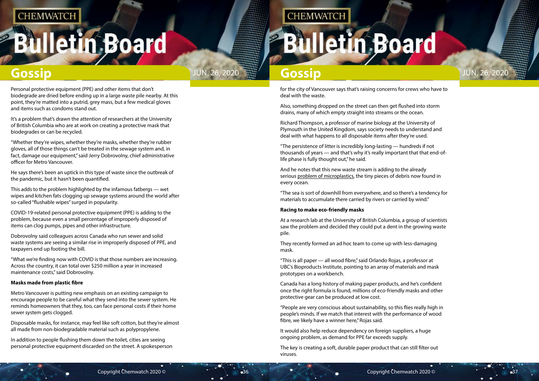# **Iletin Board**



for the city of Vancouver says that's raising concerns for crews who have to deal with the waste.

Also, something dropped on the street can then get flushed into storm drains, many of which empty straight into streams or the ocean.

Richard Thompson, a professor of marine biology at the University of Plymouth in the United Kingdom, says society needs to understand and deal with what happens to all disposable items after they're used.

"The persistence of litter is incredibly long-lasting — hundreds if not thousands of years — and that's why it's really important that that end-oflife phase is fully thought out," he said.

And he notes that this new waste stream is adding to the already serious [problem of microplastics,](https://www.cbc.ca/news/canada/north/arctic-ice-microplastics-1.5246980) the tiny pieces of debris now found in every ocean.

"The sea is sort of downhill from everywhere, and so there's a tendency for materials to accumulate there carried by rivers or carried by wind."

#### **Racing to make eco-friendly masks**

At a research lab at the University of British Columbia, a group of scientists saw the problem and decided they could put a dent in the growing waste pile.

They recently formed an ad hoc team to come up with less-damaging mask.

"This is all paper — all wood fibre," said Orlando Rojas, a professor at UBC's Bioproducts Institute, pointing to an array of materials and mask prototypes on a workbench.

Canada has a long history of making paper products, and he's confident once the right formula is found, millions of eco-friendly masks and other protective gear can be produced at low cost.

"People are very conscious about sustainability, so this flies really high in people's minds. If we match that interest with the performance of wood fibre, we likely have a winner here," Rojas said.

It would also help reduce dependency on foreign suppliers, a huge ongoing problem, as demand for PPE far exceeds supply.

The key is creating a soft, durable paper product that can still filter out viruses.

Personal protective equipment (PPE) and other items that don't biodegrade are dried before ending up in a large waste pile nearby. At this point, they're matted into a putrid, grey mass, but a few medical gloves and items such as condoms stand out.

It's a problem that's drawn the attention of researchers at the University of British Columbia who are at work on creating a protective mask that biodegrades or can be recycled.

"Whether they're wipes, whether they're masks, whether they're rubber gloves, all of those things can't be treated in the sewage system and, in fact, damage our equipment," said Jerry Dobrovolny, chief administrative officer for Metro Vancouver.

He says there's been an uptick in this type of waste since the outbreak of the pandemic, but it hasn't been quantified.

This adds to the problem highlighted by the infamous fatbergs — wet wipes and kitchen fats clogging up sewage systems around the world after so-called "flushable wipes" surged in popularity.

COVID-19-related personal protective equipment (PPE) is adding to the problem, because even a small percentage of improperly disposed of items can clog pumps, pipes and other infrastructure.

Dobrovolny said colleagues across Canada who run sewer and solid waste systems are seeing a similar rise in improperly disposed of PPE, and taxpayers end up footing the bill.

"What we're finding now with COVID is that those numbers are increasing. Across the country, it can total over \$250 million a year in increased maintenance costs," said Dobrovolny.

#### **Masks made from plastic fibre**

Metro Vancouver is putting new emphasis on an existing campaign to encourage people to be careful what they send into the sewer system. He reminds homeowners that they, too, can face personal costs if their home sewer system gets clogged.

Disposable masks, for instance, may feel like soft cotton, but they're almost all made from non-biodegradable material such as polypropylene.

In addition to people flushing them down the toilet, cities are seeing personal protective equipment discarded on the street. A spokesperson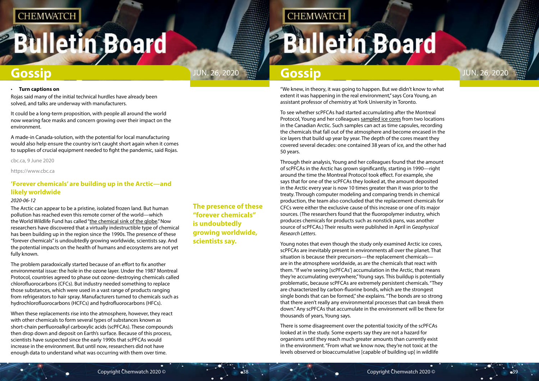# <span id="page-19-0"></span>**Bulletin Board**



**The presence of these "forever chemicals" is undoubtedly growing worldwide, scientists say.**

**CHEMWATCH** 

## **Gossip Gossip**

"We knew, in theory, it was going to happen. But we didn't know to what extent it was happening in the real environment," says Cora Young, an assistant professor of chemistry at York University in Toronto.

To see whether scPFCAs had started accumulating after the Montreal Protocol, Young and her colleagues [sampled ice cores](https://agupubs.onlinelibrary.wiley.com/doi/full/10.1029/2020GL087535) from two locations in the Canadian Arctic. Such samples can act as time capsules, recording the chemicals that fall out of the atmosphere and become encased in the ice layers that build up year by year. The depth of the cores meant they covered several decades: one contained 38 years of ice, and the other had 50 years.

Through their analysis, Young and her colleagues found that the amount of scPFCAs in the Arctic has grown significantly, starting in 1990—right around the time the Montreal Protocol took effect. For example, she says that for one of the scPFCAs they looked at, the amount deposited in the Arctic every year is now 10 times greater than it was prior to the treaty. Through computer modeling and comparing trends in chemical production, the team also concluded that the replacement chemicals for CFCs were either the exclusive cause of this increase or one of its major sources. (The researchers found that the fluoropolymer industry, which produces chemicals for products such as nonstick pans, was another source of scPFCAs.) Their results were published in April in *Geophysical Research Letters*.

Young notes that even though the study only examined Arctic ice cores, scPFCAs are inevitably present in environments all over the planet. That situation is because their precursors—the replacement chemicals are in the atmosphere worldwide, as are the chemicals that react with them. "If we're seeing [scPFCAs'] accumulation in the Arctic, that means they're accumulating everywhere," Young says. This buildup is potentially problematic, because scPFCAs are extremely persistent chemicals. "They are characterized by carbon-fluorine bonds, which are the strongest single bonds that can be formed," she explains. "The bonds are so strong that there aren't really any environmental processes that can break them down." Any scPFCAs that accumulate in the environment will be there for thousands of years, Young says.

There is some disagreement over the potential toxicity of the scPFCAs looked at in the study. Some experts say they are not a hazard for organisms until they reach much greater amounts than currently exist in the environment. "From what we know now, they're not toxic at the levels observed or bioaccumulative [capable of building up] in wildlife

### • **Turn captions on**

Rojas said many of the initial technical hurdles have already been solved, and talks are underway with manufacturers.

It could be a long-term proposition, with people all around the world now wearing face masks and concern growing over their impact on the environment.

A made-in Canada-solution, with the potential for local manufacturing would also help ensure the country isn't caught short again when it comes to supplies of crucial equipment needed to fight the pandemic, said Rojas.

cbc.ca, 9 June 2020

https://www.cbc.ca

### **'Forever chemicals' are building up in the Arctic—and likely worldwide**

#### *2020-06-12*

The Arctic can appear to be a pristine, isolated frozen land. But human pollution has reached even this remote corner of the world—which the World Wildlife Fund has called "[the chemical sink of the globe.](https://www.worldwildlife.org/press-releases/the-arctic-is-the-chemical-sink-of-the-globe-says-wwf)" Now researchers have discovered that a virtually indestructible type of chemical has been building up in the region since the 1990s. The presence of these "forever chemicals" is undoubtedly growing worldwide, scientists say. And the potential impacts on the health of humans and ecosystems are not yet fully known.

The problem paradoxically started because of an effort to fix another environmental issue: the hole in the ozone layer. Under the 1987 Montreal Protocol, countries agreed to phase out ozone-destroying chemicals called chlorofluorocarbons (CFCs). But industry needed something to replace those substances, which were used in a vast range of products ranging from refrigerators to hair spray. Manufacturers turned to chemicals such as hydrochlorofluorocarbons (HCFCs) and hydrofluorocarbons (HFCs).

When these replacements rise into the atmosphere, however, they react with other chemicals to form several types of substances known as short-chain perfluoroalkyl carboxylic acids (scPFCAs). These compounds then drop down and deposit on Earth's surface. Because of this process, scientists have suspected since the early 1990s that scPFCAs would increase in the environment. But until now, researchers did not have enough data to understand what was occurring with them over time.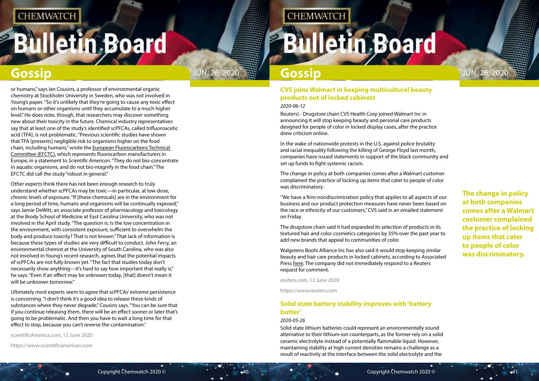# **Bulletin Board**

<span id="page-20-0"></span>

**The change in policy at both companies comes after a Walmart customer complained the practice of locking up items that cater to people of color was discriminatory.**

### **CVS joins Walmart in keeping multicultural beauty products out of locked cabinets**

### *2020-06-12*

Reuters) - Drugstore chain CVS Health Corp joined Walmart Inc in announcing it will stop keeping beauty and personal care products designed for people of color in locked display cases, after the practice drew criticism online.

In the wake of nationwide protests in the U.S. against police brutality and racial inequality following the killing of George Floyd last month, companies have issued statements in support of the black community and set up funds to fight systemic racism.

The change in policy at both companies comes after a Walmart customer complained the practice of locking up items that cater to people of color was discriminatory.

"We have a firm-nondiscrimination policy that applies to all aspects of our business and our product protection measures have never been based on the race or ethnicity of our customers," CVS said in an emailed statement on Friday.

The drugstore chain said it had expanded its selection of products in its textured hair and color cosmetics categories by 35% over the past year to add new brands that appeal to communities of color.

Walgreens Boots Alliance Inc has also said it would stop keeping similar beauty and hair care products in locked cabinets, according to Associated Press [here.](https://apnews.com/4736f57884783118f16c767f4aafab20.) The company did not immediately respond to a Reuters request for comment.

reuters.com, 12 June 2020

https://www.reuters.com

### **Solid state battery stability improves with 'battery butter'**

### *2020-05-26*

Solid state lithium batteries could represent an environmentally sound alternative to their lithium-ion counterparts, as the former rely on a solid ceramic electrolyte instead of a potentially flammable liquid. However, maintaining stability at high current densities remains a challenge as a result of reactivity at the interface between the solid electrolyte and the

or humans," says Ian Cousins, a professor of environmental organic chemistry at Stockholm University in Sweden, who was not involved in Young's paper. "So it's unlikely that they're going to cause any toxic effect on humans or other organisms until they accumulate to a much higher level." He does note, though, that researchers may discover something new about their toxicity in the future. Chemical industry representatives say that at least one of the study's identified scPFCAs, called trifluoroacetic acid (TFA), is not problematic. "Previous scientific studies have shown that TFA [presents] negligible risk to organisms higher on the food chain, including humans," wrote the [European Fluorocarbons Technical](https://www.fluorocarbons.org/about-us/)  [Committee \(EFCTC\)](https://www.fluorocarbons.org/about-us/), which represents fluorocarbon manufacturers in Europe, in a statement to *Scientific American*. "They do not bio-concentrate in aquatic organisms, and do not bio-magnify in the food chain." The EFCTC did call the study "robust in general."

Other experts think there has not been enough research to truly understand whether scPFCAs may be toxic—in particular, at low-dose, chronic levels of exposure. "If [these chemicals] are in the environment for a long period of time, humans and organisms will be continually exposed," says Jamie DeWitt, an associate professor of pharmacology and toxicology at the Brody School of Medicine at East Carolina University, who was not involved in the April study. "The question is: Is the low concentration in the environment, with consistent exposure, sufficient to overwhelm the body and produce toxicity? That is not known." That lack of information is because these types of studies are very difficult to conduct. John Ferry, an environmental chemist at the University of South Carolina, who was also not involved in Young's recent research, agrees that the potential impacts of scPFCAs are not fully known yet. "The fact that studies today don't necessarily show anything—it's hard to say how important that really is," he says. "Even if an effect may be unknown today, [that] doesn't mean it will be unknown tomorrow."

Ultimately most experts seem to agree that scPFCAs' extreme persistence is concerning. "I don't think it's a good idea to release these kinds of substances where they never degrade," Cousins says. "You can be sure that if you continue releasing them, there will be an effect sooner or later that's going to be problematic. And then you have to wait a long time for that effect to stop, because you can't reverse the contamination."

scientificAmerica.com, 12 June 2020

https://www.scientificamerican.com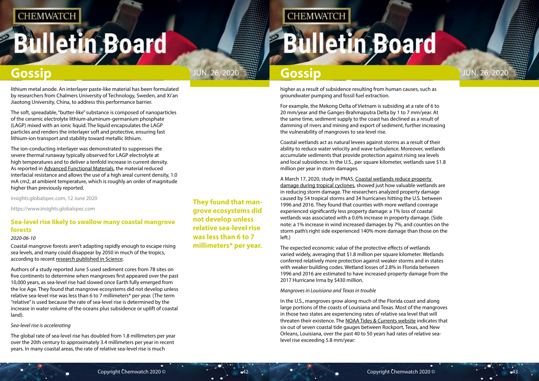# <span id="page-21-0"></span>**Bulletin Board**



### **They found that mangrove ecosystems did not develop unless relative sea-level rise was less than 6 to 7 millimeters\* per year.**

## **CHEMWATCH**

# **Illetin Board**

## **Gossip Gossip**

higher as a result of subsidence resulting from human causes, such as groundwater pumping and fossil fuel extraction.

For example, the Mekong Delta of Vietnam is subsiding at a rate of 6 to 20 mm/year and the Ganges-Brahmaputra Delta by 1 to 7 mm/year. At the same time, sediment supply to the coast has declined as a result of damming of rivers and mining and export of sediment, further increasing the vulnerability of mangroves to sea-level rise.

Coastal wetlands act as natural levees against storms as a result of their ability to reduce water velocity and wave turbulence. Moreover, wetlands accumulate sediments that provide protection against rising sea levels and local subsidence. In the U.S., per square kilometer, wetlands save \$1.8 million per year in storm damages.

A March 17, 2020, study in PNAS, [Coastal wetlands reduce property](http://www.pnas.org/cgi/doi/10.1073/pnas.1915169117)  [damage during tropical cyclones,](http://www.pnas.org/cgi/doi/10.1073/pnas.1915169117) showed just how valuable wetlands are in reducing storm damage. The researchers analyzed property damage caused by 54 tropical storms and 34 hurricanes hitting the U.S. between 1996 and 2016. They found that counties with more wetland coverage experienced significantly less property damage: a 1% loss of coastal wetlands was associated with a 0.6% increase in property damage. (Side note: a 1% increase in wind increased damages by 7%, and counties on the storm path's right side experienced 140% more damage than those on the left.)

The expected economic value of the protective effects of wetlands varied widely, averaging that \$1.8 million per square kilometer. Wetlands conferred relatively more protection against weaker storms and in states with weaker building codes. Wetland losses of 2.8% in Florida between 1996 and 2016 are estimated to have increased property damage from the 2017 Hurricane Irma by \$430 million.

#### *Mangroves in Louisiana and Texas in trouble*

In the U.S., mangroves grow along much of the Florida coast and along large portions of the coasts of Louisiana and Texas. Most of the mangroves in those two states are experiencing rates of relative sea level that will threaten their existence. The [NOAA Tides & Currents website](https://tidesandcurrents.noaa.gov/sltrends/sltrends.html) indicates that six out of seven coastal tide gauges between Rockport, Texas, and New Orleans, Louisiana, over the past 40 to 50 years had rates of relative sealevel rise exceeding 5.8 mm/year:

lithium metal anode. An interlayer paste-like material has been formulated by researchers from Chalmers University of Technology, Sweden, and Xi'an Jiaotong University, China, to address this performance barrier.

The soft, spreadable, "butter-like" substance is composed of nanoparticles of the ceramic electrolyte lithium-aluminum-germanium phosphate (LAGP) mixed with an ionic liquid. The liquid encapsulates the LAGP particles and renders the interlayer soft and protective, ensuring fast lithium‐ion transport and stability toward metallic lithium.

The ion-conducting interlayer was demonstrated to suppresses the severe thermal runaway typically observed for LAGP electrolyte at high temperatures and to deliver a tenfold increase in current density. As reported in [Advanced Functional Materials,](https://onlinelibrary.wiley.com/doi/full/10.1002/adfm.202001444) the material reduced interfacial resistance and allows the use of a high areal current density, 1.0 mA cm2, at ambient temperature, which is roughly an order of magnitude higher than previously reported.

insights.globalspec.com, 12 June 2020

https://www.insights.globalspec.com

### **Sea-level rise likely to swallow many coastal mangrove forests**

#### *2020-06-10*

Coastal mangrove forests aren't adapting rapidly enough to escape rising sea levels, and many could disappear by 2050 in much of the tropics, according to recent [research published in Science.](https://science.sciencemag.org/content/368/6495/1118)

Authors of a study reported June 5 used sediment cores from 78 sites on five continents to determine when mangroves first appeared over the past 10,000 years, as sea-level rise had slowed once Earth fully emerged from the Ice Age. They found that mangrove ecosystems did not develop unless relative sea-level rise was less than 6 to 7 millimeters\* per year. (The term "relative" is used because the rate of sea-level rise is determined by the increase in water volume of the oceans plus subsidence or uplift of coastal land).

#### *Sea-level rise is accelerating*

The global rate of sea-level rise has doubled from 1.8 millimeters per year over the 20th century to approximately 3.4 millimeters per year in recent years. In many coastal areas, the rate of relative sea-level rise is much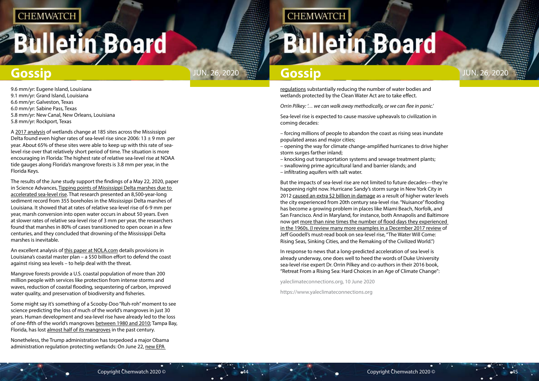# **Illetin Board**





[regulations](https://www.epa.gov/sites/production/files/2020-01/documents/navigable_waters_protection_rule_prepbulication.pdf) substantially reducing the number of water bodies and wetlands protected by the Clean Water Act are to take effect.

*Orrin Pilkey: '… we can walk away methodically, or we can flee in panic.'*

Sea-level rise is expected to cause massive upheavals to civilization in coming decades:

– forcing millions of people to abandon the coast as rising seas inundate populated areas and major cities;

– opening the way for climate change-amplified hurricanes to drive higher storm surges farther inland;

- knocking out transportation systems and sewage treatment plants;
- swallowing prime agricultural land and barrier islands; and
- infiltrating aquifers with salt water.

But the impacts of sea-level rise are not limited to future decades—they're happening right now. Hurricane Sandy's storm surge in New York City in 2012 [caused an extra \\$2 billion in damage](https://eos.org/articles/sea-level-rise-added-2-billion-to-sandys-toll-in-new-york-city) as a result of higher water levels the city experienced from 20th century sea-level rise. "Nuisance" flooding has become a growing problem in places like Miami Beach, Norfolk, and San Francisco. And in Maryland, for instance, both Annapolis and Baltimore now get [more than nine times the number of flood days they experienced](https://toolkit.climate.gov/topics/coastal-flood-risk/shallow-coastal-flooding-nuisance-flooding)  [in the 1960s. \(I review many more examples in a December](https://toolkit.climate.gov/topics/coastal-flood-risk/shallow-coastal-flooding-nuisance-flooding) [2017 review](https://www.wunderground.com/cat6/water-will-come-must-read-book-sea-level-rise) of Jeff Goodell's must-read book on sea-level rise, "The Water Will Come: Rising Seas, Sinking Cities, and the Remaking of the Civilized World.")

In response to news that a long-predicted acceleration of sea level is already underway, one does well to heed the words of Duke University sea-level rise expert Dr. Orrin Pilkey and co-authors in their 2016 book, "Retreat From a Rising Sea: Hard Choices in an Age of Climate Change":

yaleclimateconnections.org, 10 June 2020

https://www.yaleclimateconnections.org

9.6 mm/yr: Eugene Island, Louisiana 9.1 mm/yr: Grand Island, Louisiana 6.6 mm/yr: Galveston, Texas 6.0 mm/yr: Sabine Pass, Texas 5.8 mm/yr: New Canal, New Orleans, Louisiana 5.8 mm/yr: Rockport, Texas

A [2017 analysis](https://www.nature.com/articles/ncomms14792/) of wetlands change at 185 sites across the Mississippi Delta found even higher rates of sea-level rise since 2006:  $13 \pm 9$  mm per year. About 65% of these sites were able to keep up with this rate of sealevel rise over that relatively short period of time. The situation is more encouraging in Florida: The highest rate of relative sea-level rise at NOAA tide gauges along Florida's mangrove forests is 3.8 mm per year, in the Florida Keys.

The results of the June study support the findings of a May 22, 2020, paper in Science Advances, Tipping points of Mississippi Delta marshes due to [accelerated sea-level rise.](https://advances.sciencemag.org/content/6/21/eaaz5512) That research presented an 8,500-year-long sediment record from 355 boreholes in the Mississippi Delta marshes of Louisiana. It showed that at rates of relative sea-level rise of 6-9 mm per year, marsh conversion into open water occurs in about 50 years. Even at slower rates of relative sea-level rise of 3 mm per year, the researchers found that marshes in 80% of cases transitioned to open ocean in a few centuries, and they concluded that drowning of the Mississippi Delta marshes is inevitable.

An excellent analysis of [this paper at NOLA.com](https://www.nola.com/news/environment/article_577f61aa-9c26-11ea-8800-0707002d333a.html) details provisions in Louisiana's coastal master plan – a \$50 billion effort to defend the coast against rising sea levels – to help deal with the threat.

Mangrove forests provide a U.S. coastal population of more than 200 million people with services like protection from intense storms and waves, reduction of coastal flooding, sequestering of carbon, improved water quality, and preservation of biodiversity and fisheries.

Some might say it's something of a Scooby-Doo "Ruh-roh" moment to see science predicting the loss of much of the world's mangroves in just 30 years. Human development and sea-level rise have already led to the loss of one-fifth of the world's mangroves [between 1980 and 2010](https://www.fws.gov/nwrs/threecolumn.aspx?id=2147572848); Tampa Bay, Florida, has lost [almost half of its mangroves](https://myfwc.com/research/habitat/coastal-wetlands/information/mangroves/) in the past century.

Nonetheless, the Trump administration has torpedoed a major Obama administration regulation protecting wetlands: On June 22, [new EPA](https://www.epa.gov/sites/production/files/2020-01/documents/navigable_waters_protection_rule_prepbulication.pdf)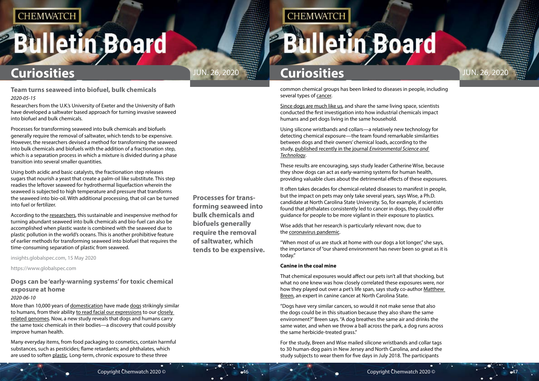# <span id="page-23-0"></span>**Bulletin Board**

common chemical groups has been linked to diseases in people, including several types of [cancer.](https://www.nationalgeographic.com/science/health-and-human-body/human-diseases/cancer/)



### **Processes for transforming seaweed into bulk chemicals and biofuels generally require the removal of saltwater, which tends to be expensive.**

**CHEMWATCH** 

Since dogs are much like us, and share the same living space, scientists conducted the first investigation into how industrial chemicals impact humans and pet dogs living in the same household.

Using silicone wristbands and collars—a relatively new technology for detecting chemical exposure—the team found remarkable similarities between dogs and their owners' chemical loads, according to the study, [published recently in the journal](http://dx.doi.org/10.1021/acs.est.9b06605) *Environmental Science and [Technology](http://dx.doi.org/10.1021/acs.est.9b06605)*.

These results are encouraging, says study leader Catherine Wise, because they show dogs can act as early-warning systems for human health, providing valuable clues about the detrimental effects of these exposures.

It often takes decades for chemical-related diseases to manifest in people, but the impact on pets may only take several years, says Wise, a Ph.D. candidate at North Carolina State University. So, for example, if scientists found that phthalates consistently led to cancer in dogs, they could offer guidance for people to be more vigilant in their exposure to plastics.

Wise adds that her research is particularly relevant now, due to the [coronavirus pandemic.](https://www.nationalgeographic.com/science/coronavirus-coverage/)

"When most of us are stuck at home with our dogs a lot longer," she says, the importance of "our shared environment has never been so great as it is today."

#### **Canine in the coal mine**

That chemical exposures would affect our pets isn't all that shocking, but what no one knew was how closely correlated these exposures were, nor how they played out over a pet's life span, says study co-author Matthew [Breen](https://tox.sciences.ncsu.edu/people/matthew-breen/), an expert in canine cancer at North Carolina State.

"Dogs have very similar cancers, so would it not make sense that also the dogs could be in this situation because they also share the same environment?" Breen says. "A dog breathes the same air and drinks the same water, and when we throw a ball across the park, a dog runs across the same herbicide-treated grass."

For the study, Breen and Wise mailed silicone wristbands and collar tags to 30 human-dog pairs in New Jersey and North Carolina, and asked the study subjects to wear them for five days in July 2018. The participants

**Team turns seaweed into biofuel, bulk chemicals** *2020-05-15*

Researchers from the U.K.'s University of Exeter and the University of Bath have developed a saltwater based approach for turning invasive seaweed into biofuel and bulk chemicals.

Processes for transforming seaweed into bulk chemicals and biofuels generally require the removal of saltwater, which tends to be expensive. However, the researchers devised a method for transforming the seaweed into bulk chemicals and biofuels with the addition of a fractionation step, which is a separation process in which a mixture is divided during a phase transition into several smaller quantities.

Using both acidic and basic catalysts, the fractionation step releases sugars that nourish a yeast that create a palm-oil like substitute. This step readies the leftover seaweed for hydrothermal liquefaction wherein the seaweed is subjected to high temperature and pressure that transforms the seaweed into bio-oil. With additional processing, that oil can be turned into fuel or fertilizer.

According to the [researchers,](https://www.bath.ac.uk/announcements/solve-invasive-seaweed-problem-by-turning-it-into-biofuels-and-fertilisers/) this sustainable and inexpensive method for turning abundant seaweed into bulk chemicals and bio-fuel can also be accomplished when plastic waste is combined with the seaweed due to plastic pollution in the world's oceans. This is another prohibitive feature of earlier methods for transforming seaweed into biofuel that requires the time-consuming separation of plastic from seaweed.

insights.globalspec.com, 15 May 2020

https://www.globalspec.com

### **Dogs can be 'early-warning systems' for toxic chemical exposure at home**

#### *2020-06-10*

More than 10,000 years of [domestication](https://www.nationalgeographic.com/news/2015/12/151217-dogs-domestication-asia-china-genetics-animals-science/) have made [dogs](https://www.nationalgeographic.com/animals/mammals/d/domestic-dog/) strikingly similar to humans, from their ability [to read facial our expressions](http://news.nationalgeographic.com/news/2015/02/150212-dogs-human-emotion-happy-angry-animals-science/) to our [closely](https://www.genome.gov/17515860/2005-release-researchers-publish-dog-genome-sequence)  [related genomes](https://www.genome.gov/17515860/2005-release-researchers-publish-dog-genome-sequence). Now, a new study reveals that dogs and humans carry the same toxic chemicals in their bodies—a discovery that could possibly improve human health.

Many everyday items, from food packaging to cosmetics, contain harmful substances, such as pesticides; flame retardants; and phthalates, which are used to soften [plastic](https://www.nationalgeographic.com/environment/plastic-facts/). Long-term, chronic exposure to these three

## **Curiosities**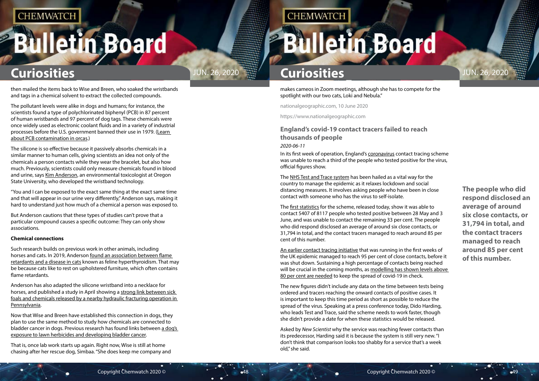# <span id="page-24-0"></span>**Bulletin Board**



**The people who did respond disclosed an average of around six close contacts, or 31,794 in total, and the contact tracers managed to reach around 85 per cent of this number.**

## **Curiosities Curiosities**

makes cameos in Zoom meetings, although she has to compete for the spotlight with our two cats, Loki and Nebula."

In its first week of operation, England's [coronavirus](https://www.newscientist.com/term/coronavirus/) contact tracing scheme was unable to reach a third of the people who tested positive for the virus, official figures show.

nationalgeographic.com, 10 June 2020

https://www.nationalgeographic.com

### **England's covid-19 contact tracers failed to reach thousands of people**

#### *2020-06-11*

The [first statistics](https://assets.publishing.service.gov.uk/government/uploads/system/uploads/attachment_data/file/891596/NHS_test_and_trace_bulletin__England__-_28_May_to_3_June_2020.pdf) for the scheme, released today, show it was able to contact 5407 of 8117 people who tested positive between 28 May and 3 June, and was unable to contact the remaining 33 per cent. The people who did respond disclosed an average of around six close contacts, or 31,794 in total, and the contact tracers managed to reach around 85 per cent of this number.

The [NHS Test and Trace system](https://www.newscientist.com/article/2244951-uk-contact-tracing-plans-criticised-as-lockdown-begins-to-lift/) has been hailed as a vital way for the country to manage the epidemic as it relaxes lockdown and social distancing measures. It involves asking people who have been in close contact with someone who has the virus to self-isolate.

[An earlier contact tracing initiative](https://assets.publishing.service.gov.uk/government/uploads/system/uploads/attachment_data/file/890182/s0274-covid-19-draft-contact-tracing-operating-model-230420-sage30.pdf) that was running in the first weeks of the UK epidemic managed to reach 95 per cent of close contacts, before it was shut down. Sustaining a high percentage of contacts being reached will be crucial in the coming months, as modelling has shown levels above [80 per cent are needed](https://www.gov.uk/government/publications/spi-m-o-consensus-view-on-the-potential-relaxing-of-social-distancing-measures-4-may-2020) to keep the spread of covid-19 in check.

The new figures didn't include any data on the time between tests being ordered and tracers reaching the onward contacts of positive cases. It is important to keep this time period as short as possible to reduce the spread of the virus. Speaking at a press conference today, Dido Harding, who leads Test and Trace, said the scheme needs to work faster, though she didn't provide a date for when these statistics would be released.

Asked by *New Scientist* why the service was reaching fewer contacts than its predecessor, Harding said it is because the system is still very new. "I don't think that comparison looks too shabby for a service that's a week old," she said.

then mailed the items back to Wise and Breen, who soaked the wristbands and tags in a chemical solvent to extract the collected compounds.

The pollutant levels were alike in dogs and humans; for instance, the scientists found a type of polychlorinated biphenyl (PCB) in 87 percent of human wristbands and 97 percent of dog tags. These chemicals were once widely used as electronic coolant fluids and in a variety of industrial processes before the U.S. government banned their use in 1979. [\(Learn](https://www.nationalgeographic.com/environment/2018/09/orcas-killer-whales-poisoned-pcbs-pollution/)  [about PCB contamination in orcas.](https://www.nationalgeographic.com/environment/2018/09/orcas-killer-whales-poisoned-pcbs-pollution/))

The silicone is so effective because it passively absorbs chemicals in a similar manner to human cells, giving scientists an idea not only of the chemicals a person contacts while they wear the bracelet, but also how much. Previously, scientists could only measure chemicals found in blood and urine, says [Kim Anderson,](https://agsci.oregonstate.edu/users/kim-anderson) an environmental toxicologist at Oregon State University, who developed the wristband technology.

"You and I can be exposed to the exact same thing at the exact same time and that will appear in our urine very differently," Anderson says, making it hard to understand just how much of a chemical a person was exposed to.

But Anderson cautions that these types of studies can't prove that a particular compound causes a specific outcome: They can only show associations.

#### **Chemical connections**

Such research builds on previous work in other animals, including horses and cats. In 2019, Anderson [found an association between flame](http://dx.doi.org/10.1021/acs.est.9b02226)  [retardants and a disease in cats](http://dx.doi.org/10.1021/acs.est.9b02226) known as feline hyperthyroidism. That may be because cats like to rest on upholstered furniture, which often contains flame retardants.

Anderson has also adapted the silicone wristband into a necklace for horses, and published a study in April showing a [strong link between sick](https://www.sciencedirect.com/science/article/pii/S0048969720320106)  [foals and chemicals released by a nearby hydraulic fracturing operation in](https://www.sciencedirect.com/science/article/pii/S0048969720320106)  [Pennsylvania](https://www.sciencedirect.com/science/article/pii/S0048969720320106).

Now that Wise and Breen have established this connection in dogs, they plan to use the same method to study how chemicals are connected to bladder cancer in dogs. Previous research has found links between a dog's [exposure to lawn herbicides and developing bladder cancer.](https://pubmed.ncbi.nlm.nih.gov/23584031/)

That is, once lab work starts up again. Right now, Wise is still at home chasing after her rescue dog, Simbaa. "She does keep me company and

## **CHEMWATCH**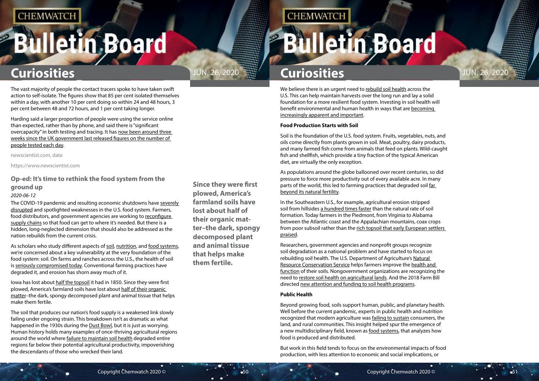# <span id="page-25-0"></span>**Bulletin Board**



**Since they were first plowed, America's farmland soils have lost about half of their organic matter–the dark, spongy decomposed plant and animal tissue that helps make them fertile.**

## **CHEMWATCH**

# **Bulletin Board**

## **Curiosities Curiosities**

We believe there is an urgent need to [rebuild soil health](https://wwnorton.com/books/9780393356090) across the U.S. This can help maintain harvests over the long run and lay a solid foundation for a more resilient food system. Investing in soil health will benefit environmental and human health in ways that are [becoming](http://dx.doi.org/10.1111/ejss.12451)  [increasingly apparent and important](http://dx.doi.org/10.1111/ejss.12451).

#### **Food Production Starts with Soil**

Soil is the foundation of the U.S. food system. Fruits, vegetables, nuts, and oils come directly from plants grown in soil. Meat, poultry, dairy products, and many farmed fish come from animals that feed on plants. Wild-caught fish and shellfish, which provide a tiny fraction of the typical American diet, are virtually the only exception.

As populations around the globe ballooned over recent centuries, so did pressure to force more productivity out of every available acre. In many parts of the world, this led to farming practices that degraded soil far [beyond its natural fertility.](http://www.bbc.com/future/bespoke/follow-the-food/why-soil-is-disappearing-from-farms/)

In the Southeastern U.S., for example, agricultural erosion stripped soil from hillsides [a hundred times faster](https://doi.org/10.1130/G36272.1) than the natural rate of soil formation. Today farmers in the Piedmont, from Virginia to Alabama between the Atlantic coast and the Appalachian mountains, coax crops from poor subsoil rather than the [rich topsoil that early European settlers](https://www.ucpress.edu/book/9780520272903/dirt)  [praised.](https://www.ucpress.edu/book/9780520272903/dirt)

Researchers, government agencies and nonprofit groups recognize soil degradation as a national problem and have started to focus on rebuilding soil health. The U.S. Department of Agriculture's [Natural](https://www.nrcs.usda.gov/wps/portal/nrcs/main/national/soils/health/)  [Resource Conservation Service](https://www.nrcs.usda.gov/wps/portal/nrcs/main/national/soils/health/) helps farmers improve the [health and](https://www.nrcs.usda.gov/wps/portal/nrcs/detail/national/soils/health/?cid=stelprdb1250888)  [function](https://www.nrcs.usda.gov/wps/portal/nrcs/detail/national/soils/health/?cid=stelprdb1250888) of their soils. Nongovernment organizations are recognizing the need to [restore soil health on agricultural lands.](https://foundationfar.org/challenge-areas/soil-health/) And the 2018 Farm Bill directed [new attention and funding to soil health programs](https://sustainableagriculture.net/wp-content/uploads/2019/09/FINAL-DIGITAL-Impact-of-2018-Farm-Bill-Provisions-on-Soil-Health.pdf).

#### **Public Health**

Beyond growing food, soils support human, public, and planetary health. Well before the current pandemic, experts in public health and nutrition recognized that modern agriculture was [failing to sustain](https://theconversation.com/us-agriculture-needs-a-21st-century-new-deal-112757) consumers, the land, and rural communities. This insight helped spur the emergence of a new multidisciplinary field, known as [food systems](https://www.nap.edu/catalog/18846/a-framework-for-assessing-effects-of-the-food-system), that analyzes how food is produced and distributed.

But work in this field tends to focus on the environmental impacts of food production, with less attention to economic and social implications, or

The vast majority of people the contact tracers spoke to have taken swift action to self-isolate. The figures show that 85 per cent isolated themselves within a day, with another 10 per cent doing so within 24 and 48 hours, 3 per cent between 48 and 72 hours, and 1 per cent taking longer.

Harding said a larger proportion of people were using the service online than expected, rather than by phone, and said there is "significant overcapacity" in both testing and tracing. It has now been around three [weeks since the UK government last released figures on the number of](https://www.newscientist.com/article/2245551-lack-of-uk-testing-data-is-impeding-our-understanding-of-the-outbreak/)  [people tested each day.](https://www.newscientist.com/article/2245551-lack-of-uk-testing-data-is-impeding-our-understanding-of-the-outbreak/)

newscientist.com, date

https://www.newscientist.com

### **Op-ed: It's time to rethink the food system from the ground up**

#### *2020-06-12*

The COVID-19 pandemic and resulting economic shutdowns have [severely](https://theconversation.com/why-farmers-are-dumping-milk-down-the-drain-and-letting-produce-rot-in-fields-136567)  [disrupted](https://theconversation.com/why-farmers-are-dumping-milk-down-the-drain-and-letting-produce-rot-in-fields-136567) and spotlighted weaknesses in the U.S. food system. Farmers, food distributors, and government agencies are working to [reconfigure](https://www.eater.com/2020/4/16/21222176/america-food-supply-coronavirus-impact-shortage-distribution-covid-19)  [supply chains](https://www.eater.com/2020/4/16/21222176/america-food-supply-coronavirus-impact-shortage-distribution-covid-19) so that food can get to where it's needed. But there is a hidden, long-neglected dimension that should also be addressed as the nation rebuilds from the current crisis.

As scholars who study different aspects of [soil,](https://www.researchgate.net/scientific-contributions/72177101_David_R_Montgomery) [nutrition,](https://scholar.google.com/citations?user=ZqigafkAAAAJ&hl=en) and [food systems](https://scholar.google.com/citations?user=CahLHSgAAAAJ&hl=en), we're concerned about a key vulnerability at the very foundation of the food system: soil. On farms and ranches across the U.S., the health of soil is [seriously compromised today.](https://food.berkeley.edu/wp-content/uploads/2016/05/GSPPCarbon_03052016_FINAL.pdf) Conventional farming practices have degraded it, and erosion has shorn away much of it.

Iowa has lost about [half the topsoil](http://www.bbc.com/future/bespoke/follow-the-food/why-soil-is-disappearing-from-farms/) it had in 1850. Since they were first plowed, America's farmland soils have lost about [half of their organic](https://www.mdpi.com/2071-1050/7/3/2936)  [matter](https://www.mdpi.com/2071-1050/7/3/2936)–the dark, spongy decomposed plant and animal tissue that helps make them fertile.

The soil that produces our nation's food supply is a weakened link slowly failing under ongoing strain. This breakdown isn't as dramatic as what happened in the 1930s during the [Dust Bowl,](http://www.pbs.org/kenburns/dustbowl/legacy/) but it is just as worrying. Human history holds many examples of once-thriving agricultural regions around the world where [failure to maintain soil health](https://www.ucpress.edu/book/9780520272903/dirt) degraded entire regions far below their potential agricultural productivity, impoverishing the descendants of those who wrecked their land.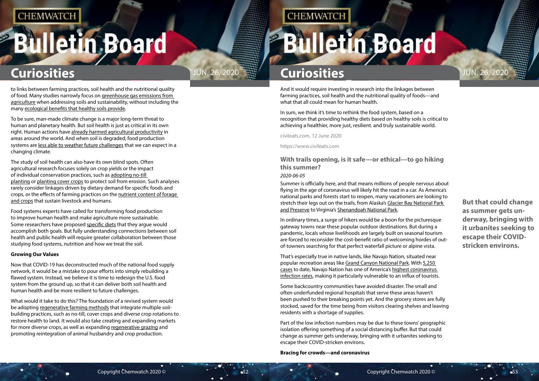# <span id="page-26-0"></span>**Bulletin Board**



**But that could change as summer gets underway, bringing with it urbanites seeking to escape their COVIDstricken environs.**

## **Curiosities Curiosities**

And it would require investing in research into the linkages between farming practices, soil health and the nutritional quality of foods—and what that all could mean for human health.

Summer is officially here, and that means millions of people nervous about flying in the age of coronavirus will likely hit the road in a car. As America's national parks and forests start to reopen, many vacationers are looking to stretch their legs out on the trails, from Alaska's [Glacier Bay National Park](https://www.nationalgeographic.com/travel/national-parks/glacier-national-park/)  [and Preserve](https://www.nationalgeographic.com/travel/national-parks/glacier-national-park/) to Virginia's [Shenandoah National Park.](https://www.nationalgeographic.com/travel/national-parks/shenandoah-national-park/)

In sum, we think it's time to rethink the food system, based on a recognition that providing healthy diets based on healthy soils is critical to achieving a healthier, more just, resilient. and truly sustainable world.

civileats.com, 12 June 2020

https://www.civileats.com

### **With trails opening, is it safe—or ethical—to go hiking this summer?**

#### *2020-06-05*

In ordinary times, a surge of hikers would be a boon for the picturesque gateway towns near these popular outdoor destinations. But during a pandemic, locals whose livelihoods are largely built on seasonal tourism are forced to reconsider the cost-benefit ratio of welcoming hordes of outof-towners searching for that perfect waterfall picture or alpine vista.

That's especially true in native lands, like Navajo Nation, situated near popular recreation areas like [Grand Canyon National Park](https://www.nationalgeographic.com/travel/national-parks/grand-canyon-national-park/). With [5,250](https://www.ndoh.navajo-nsn.gov/COVID-19)  [cases](https://www.ndoh.navajo-nsn.gov/COVID-19) to date, Navajo Nation has one of America's [highest coronavirus](https://www.cnn.com/2020/05/18/us/navajo-nation-infection-rate-trnd/index.html)  [infection rates](https://www.cnn.com/2020/05/18/us/navajo-nation-infection-rate-trnd/index.html), making it particularly vulnerable to an influx of tourists.

Some backcountry communities have avoided disaster. The small and often underfunded regional hospitals that serve these areas haven't been pushed to their breaking points yet. And the grocery stores are fully stocked, saved for the time being from visitors clearing shelves and leaving residents with a shortage of supplies.

Part of the low infection numbers may be due to these towns' geographic isolation offering something of a social distancing buffer. But that could change as summer gets underway, bringing with it urbanites seeking to escape their COVID-stricken environs.

**Bracing for crowds—and coronavirus**

to links between farming practices, soil health and the nutritional quality of food. Many studies narrowly focus on [greenhouse gas emissions from](https://doi.org/10.1186/s12889-018-5132-3)  [agriculture](https://doi.org/10.1186/s12889-018-5132-3) when addressing soils and sustainability, without including the many [ecological benefits that healthy soils provide](https://doi.org/10.3389/fenvs.2016.00041).

To be sure, man-made climate change is a major long-term threat to human and planetary health. But soil health is just as critical in its own right. Human actions have [already harmed agricultural productivity](https://knowledge.unccd.int/glo/part-one-big-picture) in areas around the world. And when soil is degraded, food production systems are [less able to weather future challenges](https://www.stat.berkeley.edu/~aldous/157/Papers/extreme_weather_resilience.pdf) that we can expect in a changing climate.

The study of soil health can also have its own blind spots. Often agricultural research focuses solely on crop yields or the impact of individual conservation practices, such as [adopting no-till](https://doi.org/10.1038/s41598-019-47861-7)  [planting](https://doi.org/10.1038/s41598-019-47861-7) or [planting cover crops](https://www.nrcs.usda.gov/wps/portal/nrcs/detail/national/climatechange/?cid=stelprdb1077238) to protect soil from erosion. Such analyses rarely consider linkages driven by dietary demand for specific foods and crops, or the effects of farming practices on the [nutrient content of forage](https://doi.org/10.1111/ejss.12451)  [and crops](https://doi.org/10.1111/ejss.12451) that sustain livestock and humans.

Food systems experts have called for transforming food production to improve human health and make agriculture more sustainable. Some researchers have proposed [specific diets](https://www.thelancet.com/commissions/EAT) that they argue would accomplish both goals. But fully understanding connections between soil health and public health will require greater collaboration between those studying food systems, nutrition and how we treat the soil.

#### **Growing Our Values**

Now that COVID-19 has deconstructed much of the national food supply network, it would be a mistake to pour efforts into simply rebuilding a flawed system. Instead, we believe it is time to redesign the U.S. food system from the ground up, so that it can deliver both soil health and human health and be more resilient to future challenges.

What would it take to do this? The foundation of a revised system would be adopting [regenerative farming methods](https://wwnorton.com/books/9780393356090) that integrate multiple soilbuilding practices, such as no-till, cover crops and diverse crop rotations to restore health to land. It would also take creating and expanding markets for more diverse crops, as well as expanding [regenerative grazing](https://theconversation.com/regenerative-agriculture-can-make-farmers-stewards-of-the-land-again-110570) and promoting reintegration of animal husbandry and crop production.

## **CHEMWATCH**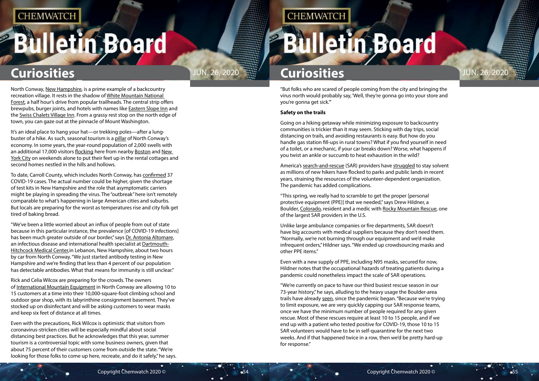# **Bulletin Board**



"But folks who are scared of people coming from the city and bringing the virus north would probably say, 'Well, they're gonna go into your store and you're gonna get sick.'"

#### **Safety on the trails**

Going on a hiking getaway while minimizing exposure to backcountry communities is trickier than it may seem. Sticking with day trips, social distancing on trails, and avoiding restaurants is easy. But how do you handle gas station fill-ups in rural towns? What if you find yourself in need of a toilet, or a mechanic, if your car breaks down? Worse, what happens if you twist an ankle or succumb to heat exhaustion in the wild?

America's [search-and-rescue](http://www.amerisar.org/home.htm) (SAR) providers have [struggled](https://www.outsideonline.com/2407811/search-and-rescue-america-overwhelmed) to stay solvent as millions of new hikers have flocked to parks and public lands in recent years, straining the resources of the volunteer-dependent organization. The pandemic has added complications.

"This spring, we really had to scramble to get the proper [personal protective equipment (PPE)] that we needed," says Drew Hildner, a Boulder, [Colorado,](https://www.nationalgeographic.com/travel/destinations/north-america/united-states/colorado/) resident and a medic with [Rocky Mountain Rescue](http://www.rockymountainrescue.org/), one of the largest SAR providers in the U.S.

Unlike large ambulance companies or fire departments, SAR doesn't have big accounts with medical suppliers because they don't need them. "Normally, we're not burning through our equipment and we'd make infrequent orders," Hildner says. "We ended up crowdsourcing masks and other PPE items."

Even with a new supply of PPE, including N95 masks, secured for now, Hildner notes that the occupational hazards of treating patients during a pandemic could nonetheless impact the scale of SAR operations.

"We're currently on pace to have our third busiest rescue season in our 73-year history," he says, alluding to the heavy usage the Boulder-area trails have already [seen](https://www.coloradopolitics.com/coronavirus/metro-area-counties-warn-of-trail-damage-due-to-increased-use/article_d85336da-8ba5-11ea-beef-4bd7aa48f3b1.html), since the pandemic began. "Because we're trying to limit exposure, we are very quickly capping our SAR response teams, once we have the minimum number of people required for any given rescue. Most of these rescues require at least 10 to 15 people, and if we end up with a patient who tested positive for COVID-19, those 10 to 15 SAR volunteers would have to be in self-quarantine for the next two weeks. And if that happened twice in a row, then we'd be pretty hard-up for response."

North Conway, [New Hampshire](https://www.nationalgeographic.com/travel/destinations/north-america/united-states/new-hampshire/), is a prime example of a backcountry recreation village. It rests in the shadow of [White Mountain National](https://www.fs.usda.gov/whitemountain)  [Forest,](https://www.fs.usda.gov/whitemountain) a half hour's drive from popular trailheads. The central strip offers brewpubs, burger joints, and hotels with names like [Eastern Slope Inn](https://easternslopeinn.com/) and the [Swiss Chalets Village Inn](https://www.swisschaletsvillageinn.com/). From a grassy rest stop on the north edge of town, you can gaze out at the pinnacle of Mount Washington.

It's an ideal place to hang your hat—or trekking poles—after a lungbuster of a hike. As such, seasonal tourism is a [pillar](https://mtwashingtonvalley.org/media/press-kit-display.cfm?ArticleID=525) of North Conway's economy. In some years, the year-round population of 2,000 swells with an additional 17,000 visitors [flocking](https://www.boston.com/travel/travel/2017/03/11/where-to-eat-play-and-stay-in-north-conway-new-hampshire) here from nearby [Boston](https://www.nationalgeographic.com/travel/destinations/north-america/united-states/massachusetts/boston/) and [New](https://www.nytimes.com/2020/05/07/us/new-york-city-coronavirus-outbreak.html)  [York City](https://www.nytimes.com/2020/05/07/us/new-york-city-coronavirus-outbreak.html) on weekends alone to put their feet up in the rental cottages and second homes nestled in the hills and hollows.

To date, Carroll County, which includes North Conway, has [confirmed](https://www.dhhs.nh.gov/dphs/cdcs/covid19/covid-weekly-report-05112020.pdf) 37 COVID-19 cases. The actual number could be higher, given the shortage of test kits in New Hampshire and the role that asymptomatic carriers might be playing in spreading the virus. The "outbreak" here isn't remotely comparable to what's happening in large American cities and suburbs. But locals are preparing for the worst as temperatures rise and city folk get tired of baking bread.

"We've been a little worried about an influx of people from out of state because in this particular instance, the prevalence [of COVID-19 infections] has been much greater outside of our border," says [Dr. Antonia Altomare](https://www.dartmouth-hitchcock.org/findaprovider/provider/1397/Antonia-L-Altomare), an infectious disease and international health specialist at [Dartmouth-](https://www.dartmouth-hitchcock.org/)[Hitchcock Medical Center,](https://www.dartmouth-hitchcock.org/)in Lebanon, New Hampshire, about two hours by car from North Conway. "We just started antibody testing in New Hampshire and we're finding that less than 4 percent of our population has detectable antibodies. What that means for immunity is still unclear."

Rick and Celia Wilcox are preparing for the crowds. The owners of [International Mountain Equipment](https://www.ime-usa.com/) in North Conway are allowing 10 to 15 customers at a time into their 10,000-square-foot climbing school and outdoor gear shop, with its labyrinthine consignment basement. They've stocked up on disinfectant and will be asking customers to wear masks and keep six feet of distance at all times.

Even with the precautions, Rick Wilcox is optimistic that visitors from coronavirus-stricken cities will be especially mindful about social distancing best practices. But he acknowledges that this year, summer tourism is a controversial topic with some business owners, given that about 75 percent of their customers come from outside the state. "We're looking for those folks to come up here, recreate, and do it safely," he says.

## **CHEMWATCH**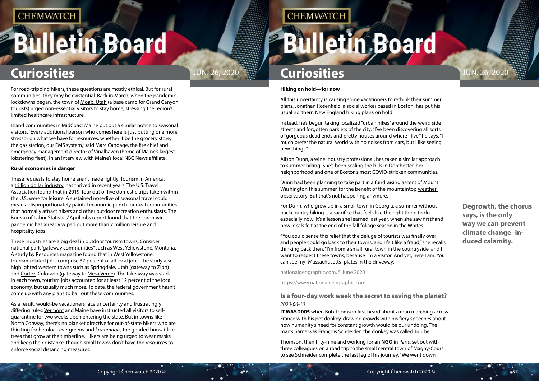# <span id="page-28-0"></span>**Bulletin Board**



**Degrowth, the chorus says, is the only way we can prevent climate change–induced calamity.**

## **Curiosities Curiosities**

#### **Hiking on hold—for now**

**CHEMWATCH** 

All this uncertainty is causing some vacationers to rethink their summer plans. Jonathan Rosenfield, a social worker based in Boston, has put his usual northern New England hiking plans on hold.

Instead, he's begun taking localized "urban hikes" around the weird side streets and forgotten parklets of the city. "I've been discovering all sorts of gorgeous dead ends and pretty houses around where I live," he says. "I much prefer the natural world with no noises from cars, but I like seeing new things."

Alison Dunn, a wine industry professional, has taken a similar approach to summer hiking. She's been scaling the hills in Dorchester, her neighborhood and one of Boston's most COVID-stricken communities.

Dunn had been planning to take part in a fundraising ascent of Mount Washington this summer, for the benefit of the mountaintop [weather](https://www.mountwashington.org/visit-us/weather-discovery-center/)  [observatory](https://www.mountwashington.org/visit-us/weather-discovery-center/). But that's not happening anymore.

**IT WAS 2005** when Bob Thomson first heard about a man marching across France with his pet donkey, drawing crowds with his fiery speeches about how humanity's need for constant growth would be our undoing. The man's name was François Schneider; the donkey was called Jujube.

For Dunn, who grew up in a small town in Georgia, a summer without backcountry hiking is a sacrifice that feels like the right thing to do, especially now. It's a lesson she learned last year, when she saw firsthand how locals felt at the end of the fall foliage season in the Whites.

Island communities in MidCoast [Maine](https://www.nationalgeographic.com/travel/destinations/north-america/united-states/maine/places-to-go-coastal-road-trip/) put out a similar [notice](https://www.newscentermaine.com/article/news/health/coronavirus/vinalhaven-other-islands-not-equipped-for-visitors-hoping-to-hunker-down-during-coronavirus/97-5da730a4-f323-46db-a15d-7f564fd0ddb7) to seasonal visitors. "Every additional person who comes here is just putting one more stressor on what we have for resources, whether it be the grocery store, the gas station, our EMS system," said Marc Candage, the fire chief and emergency management director of [Vinalhaven](https://www.townofvinalhaven.org/) (home of Maine's largest lobstering fleet), in an interview with Maine's local NBC News affiliate.

> "You could sense this relief that the deluge of tourists was finally over and people could go back to their towns, and I felt like a fraud," she recalls thinking back then. "I'm from a small rural town in the countryside, and I want to respect these towns, because I'm a visitor. And yet, here I am. You can see my [Massachusetts] plates in the driveway."

nationalgeographic.com, 5 June 2020

https://www.nationalgeographic.com

### **Is a four-day work week the secret to saving the planet?** *2020-06-10*

Thomson, then fifty-nine and working for an **NGO** in Paris, set out with three colleagues on a road trip to the small central town of Magny-Cours to see Schneider complete the last leg of his journey. "We went down

For road-tripping hikers, these questions are mostly ethical. But for rural communities, they may be existential. Back in March, when the pandemic lockdowns began, the town of [Moab, Utah](https://www.nationalgeographic.com/travel/road-trips/united-states/utah-national-parks/) (a base camp for Grand Canyon tourists) [urged](https://www.moabsunnews.com/covid-19/article_1d147594-8b25-11ea-a421-63f6afa4a2b3.html) non-essential visitors to stay home, stressing the region's limited healthcare infrastructure.

#### **Rural economies in danger**

These requests to stay home aren't made lightly. Tourism in America, a [trillion dollar industry,](https://urldefense.proofpoint.com/v2/url?u=https-3A__www.ustravel.org_system_files_media-5Froot_document_Research-5FFact-2DSheet-5FUS-2DTravel-2DAnswer-2DSheet.pdf&d=DwMFaQ&c=uw6TLu4hwhHdiGJOgwcWD4AjKQx6zvFcGEsbfiY9-EI&r=CJqk-M83pUV6zNmmU-NH9gtVjNVoUWfqhH-f3DrbVzs&m=RBf4Qku0g-wRSwamuTuyvm71YS4kNMJcv3jk_X4DZ4o&s=x59C_6_-3JOsRqyjhKGplbsnNcfrQ9AI3q7Hg_J-2BA&e=) has thrived in recent years. The U.S. Travel Association found that in 2019, four out of five domestic trips taken within the U.S. were for leisure. A sustained nosedive of seasonal travel could mean a disproportionately painful economic punch for rural communities that normally attract hikers and other outdoor recreation enthusiasts. The Bureau of Labor Statistics' April jobs [report](https://www.bls.gov/news.release/empsit.nr0.htm) found that the coronavirus pandemic has already wiped out more than 7 million leisure and hospitality jobs.

These industries are a big deal in outdoor tourism towns. Consider national park "gateway communities" such as [West Yellowstone](https://www.townofwestyellowstone.com/), [Montana](https://www.nationalgeographic.com/travel/destinations/north-america/united-states/montana/). A [study](https://www.resourcesmag.org/common-resources/national-park-gateway-communities-outdoor-recreation-economy-and-covid-19/) by Resources magazine found that in West Yellowstone, tourism-related jobs comprise 37 percent of all local jobs. The study also highlighted western towns such as [Springdale,](https://www.springdaletown.com/) [Utah](https://www.nationalgeographic.com/travel/destinations/north-america/united-states/utah/) (gateway to [Zion\)](https://www.nationalgeographic.com/travel/national-parks/zion-national-park/) and [Cortez](https://www.cityofcortez.com/), Colorado (gateway to [Mesa Verde\)](https://www.nationalgeographic.com/travel/national-parks/mesa-verde-national-park/). The takeaway was stark in each town, tourism jobs accounted for at least 12 percent of the local economy, but usually much more. To date, the federal government hasn't come up with any plans to bail out these communities.

As a result, would-be vacationers face uncertainty and frustratingly differing rules. [Vermont](https://www.nationalgeographic.com/travel/destinations/north-america/united-states/vermont/) and Maine have instructed all visitors to selfquarantine for two weeks upon entering the state. But in towns like North Conway, there's no blanket directive for out-of-state hikers who are thirsting for hemlock evergreens and *krummholz*, the gnarled bonsai-like trees that grow at the timberline. Hikers are being urged to wear masks and keep their distance, though small towns don't have the resources to enforce social distancing measures.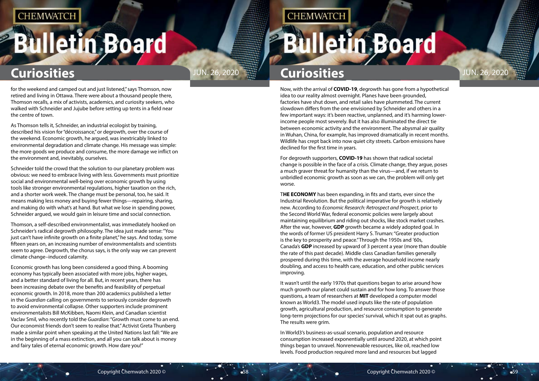# **Bulletin Board**

## **Curiosities** JUN. 26, 2020 **Curiosities** JUN. 26, 2020

Now, with the arrival of **COVID-19**, degrowth has gone from a hypothetical idea to our reality almost overnight. Planes have been grounded, factories have shut down, and retail sales have plummeted. The current slowdown differs from the one envisioned by Schneider and others in a few important ways: it's been reactive, unplanned, and it's harming lowerincome people most severely. But it has also illuminated the direct tie between economic activity and the environment. The abysmal air quality in Wuhan, China, for example, has improved dramatically in recent months. Wildlife has crept back into now quiet city streets. Carbon emissions have declined for the first time in years.

For degrowth supporters, **COVID-19** has shown that radical societal change is possible in the face of a crisis. Climate change, they argue, poses a much graver threat for humanity than the virus—and, if we return to unbridled economic growth as soon as we can, the problem will only get worse.

T**HE ECONOMY** has been expanding, in fits and starts, ever since the Industrial Revolution. But the political imperative for growth is relatively new. According to *Economic Research: Retrospect and Prospect*, prior to the Second World War, federal economic policies were largely about maintaining equilibrium and riding out shocks, like stock market crashes. After the war, however, **GDP** growth became a widely adopted goal. In the words of former US president Harry S. Truman: "Greater production is the key to prosperity and peace." Through the 1950s and '60s, Canada's **GDP** increased by upward of 3 percent a year (more than double the rate of this past decade). Middle class Canadian families generally prospered during this time, with the average household income nearly doubling, and access to health care, education, and other public services improving.

It wasn't until the early 1970s that questions began to arise around how much growth our planet could sustain and for how long. To answer those questions, a team of researchers at **MIT** developed a computer model known as World3. The model used inputs like the rate of population growth, agricultural production, and resource consumption to generate long-term projections for our species' survival, which it spat out as graphs. The results were grim.

In World3's business-as-usual scenario, population and resource consumption increased exponentially until around 2020, at which point things began to unravel. Nonrenewable resources, like oil, reached low levels. Food production required more land and resources but lagged

# **Bulletin Board**

for the weekend and camped out and just listened," says Thomson, now retired and living in Ottawa. There were about a thousand people there, Thomson recalls, a mix of activists, academics, and curiosity seekers, who walked with Schneider and Jujube before setting up tents in a field near the centre of town.

As Thomson tells it, Schneider, an industrial ecologist by training, described his vision for "décroissance," or degrowth, over the course of the weekend. Economic growth, he argued, was inextricably linked to environmental degradation and climate change. His message was simple: the more goods we produce and consume, the more damage we inflict on the environment and, inevitably, ourselves.

Schneider told the crowd that the solution to our planetary problem was obvious: we need to embrace living with less. Governments must prioritize social and environmental well-being over economic growth by using tools like stronger environmental regulations, higher taxation on the rich, and a shorter work week. The change must be personal, too, he said. It means making less money and buying fewer things—repairing, sharing, and making do with what's at hand. But what we lose in spending power, Schneider argued, we would gain in leisure time and social connection.

Thomson, a self-described environmentalist, was immediately hooked on Schneider's radical degrowth philosophy. The idea just made sense: "You just can't have infinite growth on a finite planet," he says. And today, some fifteen years on, an increasing number of environmentalists and scientists seem to agree. Degrowth, the chorus says, is the only way we can prevent climate change–induced calamity.

Economic growth has long been considered a good thing. A booming economy has typically been associated with more jobs, higher wages, and a better standard of living for all. But, in recent years, there has been increasing debate over the benefits and feasibility of perpetual economic growth. In 2018, more than 200 academics published a letter in the *Guardian* calling on governments to seriously consider degrowth to avoid environmental collapse. Other supporters include prominent environmentalists Bill McKibben, Naomi Klein, and Canadian scientist Vaclav Smil, who recently told the *Guardian*: "Growth must come to an end. Our economist friends don't seem to realise that." Activist Greta Thunberg made a similar point when speaking at the United Nations last fall: "We are in the beginning of a mass extinction, and all you can talk about is money and fairy tales of eternal economic growth. How dare you!"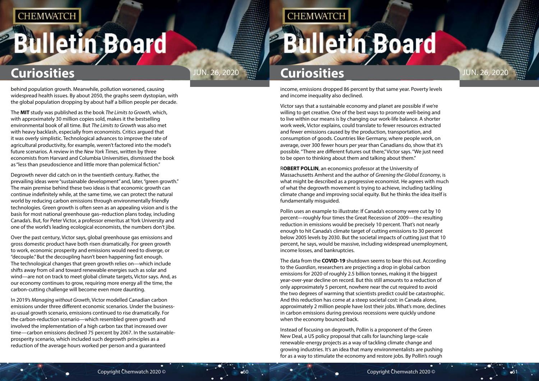# **Bulletin Board**



income, emissions dropped 86 percent by that same year. Poverty levels and income inequality also declined.

Victor says that a sustainable economy and planet are possible if we're willing to get creative. One of the best ways to promote well-being and to live within our means is by changing our work-life balance. A shorter work week, Victor explains, could translate to fewer resources extracted and fewer emissions caused by the production, transportation, and consumption of goods. Countries like Germany, where people work, on average, over 300 fewer hours per year than Canadians do, show that it's possible. "There are different futures out there," Victor says. "We just need to be open to thinking about them and talking about them."

R**OBERT POLLIN**, an economics professor at the University of Massachusetts Amherst and the author of *Greening the Global Economy*, is what might be described as a progressive economist. He agrees with much of what the degrowth movement is trying to achieve, including tackling climate change and improving social equity. But he thinks the idea itself is fundamentally misguided.

Pollin uses an example to illustrate: If Canada's economy were cut by 10 percent—roughly four times the Great Recession of 2009—the resulting reduction in emissions would be precisely 10 percent. That's not nearly enough to hit Canada's climate target of cutting emissions to 30 percent below 2005 levels by 2030. But the societal impacts of cutting just that 10 percent, he says, would be massive, including widespread unemployment, income losses, and bankruptcies.

The data from the **COVID-19** shutdown seems to bear this out. According to the *Guardian*, researchers are projecting a drop in global carbon emissions for 2020 of roughly 2.5 billion tonnes, making it the biggest year-over-year decline on record. But this still amounts to a reduction of only approximately 5 percent, nowhere near the cut required to avoid the two degrees of warming that scientists predict could be catastrophic. And this reduction has come at a steep societal cost: in Canada alone, approximately 2 million people have lost their jobs. What's more, declines in carbon emissions during previous recessions were quickly undone when the economy bounced back.

Instead of focusing on degrowth, Pollin is a proponent of the Green New Deal, a US policy proposal that calls for launching large-scale renewable-energy projects as a way of tackling climate change and growing industries. It's an idea that many environmentalists are pushing for as a way to stimulate the economy and restore jobs. By Pollin's rough

behind population growth. Meanwhile, pollution worsened, causing widespread health issues. By about 2050, the graphs seem dystopian, with the global population dropping by about half a billion people per decade.

The **MIT** study was published as the book *The Limits to Growth*, which, with approximately 30 million copies sold, makes it the bestselling environmental book of all time. But *The Limits to Growth* was also met with heavy backlash, especially from economists. Critics argued that it was overly simplistic. Technological advances to improve the rate of agricultural productivity, for example, weren't factored into the model's future scenarios. A review in the *New York Times*, written by three economists from Harvard and Columbia Universities, dismissed the book as "less than pseudoscience and little more than polemical fiction."

Degrowth never did catch on in the twentieth century. Rather, the prevailing ideas were "sustainable development" and, later, "green growth." The main premise behind these two ideas is that economic growth can continue indefinitely while, at the same time, we can protect the natural world by reducing carbon emissions through environmentally friendly technologies. Green growth is often seen as an appealing vision and is the basis for most national greenhouse gas–reduction plans today, including Canada's. But, for Peter Victor, a professor emeritus at York University and one of the world's leading ecological economists, the numbers don't jibe.

Over the past century, Victor says, global greenhouse gas emissions and gross domestic product have both risen dramatically. For green growth to work, economic prosperity and emissions would need to diverge, or "decouple." But the decoupling hasn't been happening fast enough. The technological changes that green growth relies on—which include shifts away from oil and toward renewable energies such as solar and wind—are not on track to meet global climate targets, Victor says. And, as our economy continues to grow, requiring more energy all the time, the carbon-cutting challenge will become even more daunting.

In 2019's *Managing without Growth*, Victor modelled Canadian carbon emissions under three different economic scenarios. Under the businessas-usual growth scenario, emissions continued to rise dramatically. For the carbon-reduction scenario—which resembled green growth and involved the implementation of a high carbon tax that increased over time—carbon emissions declined 75 percent by 2067. In the sustainableprosperity scenario, which included such degrowth principles as a reduction of the average hours worked per person and a guaranteed

## **CHEMWATCH**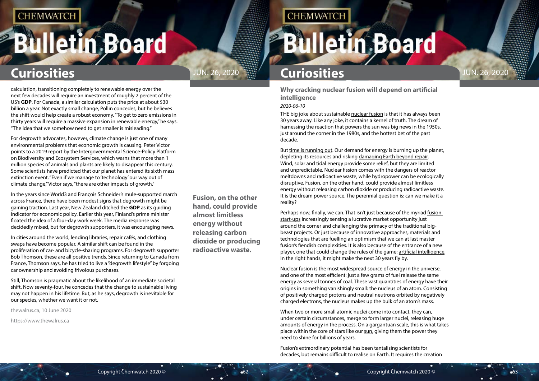# <span id="page-31-0"></span>**Bulletin Board**



**Fusion, on the other hand, could provide almost limitless energy without releasing carbon dioxide or producing radioactive waste.**

**CHEMWATCH** 

## **Curiosities Curiosities**

**Why cracking nuclear fusion will depend on artificial intelligence**

#### *2020-06-10*

THE big joke about sustainable [nuclear fusion](https://www.newscientist.com/article-topic/nuclear-fusion/) is that it has always been 30 years away. Like any joke, it contains a kernel of truth. The dream of harnessing the reaction that powers the sun was big news in the 1950s, just around the corner in the 1980s, and the hottest bet of the past decade.

But [time is running out](https://www.newscientist.com/article-topic/climate-change/). Our demand for energy is burning up the planet, depleting its resources and risking [damaging Earth beyond repair.](https://www.newscientist.com/article/mg24132130-500-earth-in-2050-this-is-what-a-world-warmed-by-1-5c-looks-like/) Wind, solar and tidal energy provide some relief, but they are limited and unpredictable. Nuclear fission comes with the dangers of reactor meltdowns and radioactive waste, while hydropower can be ecologically disruptive. Fusion, on the other hand, could provide almost limitless energy without releasing carbon dioxide or producing radioactive waste. It is the dream power source. The perennial question is: can we make it a reality?

Perhaps now, finally, we can. That isn't just because of the myriad [fusion](https://www.newscientist.com/article/mg21128251-400-star-power-small-fusion-start-ups-aim-for-break-even/)  [start-ups](https://www.newscientist.com/article/mg21128251-400-star-power-small-fusion-start-ups-aim-for-break-even/) increasingly sensing a lucrative market opportunity just around the corner and challenging the primacy of the traditional bigbeast projects. Or just because of innovative approaches, materials and technologies that are fuelling an optimism that we can at last master fusion's fiendish complexities. It is also because of the entrance of a new player, one that could change the rules of the game: [artificial intelligence.](https://www.newscientist.com/article-topic/artificial-intelligence/) In the right hands, it might make the next 30 years fly by.

Nuclear fusion is the most widespread source of energy in the universe, and one of the most efficient: just a few grams of fuel release the same energy as several tonnes of coal. These vast quantities of energy have their origins in something vanishingly small: the nucleus of an atom. Consisting of positively charged protons and neutral neutrons orbited by negatively charged electrons, the nucleus makes up the bulk of an atom's mass.

When two or more small atomic nuclei come into contact, they can, under certain circumstances, merge to form larger nuclei, releasing huge amounts of energy in the process. On a gargantuan scale, this is what takes place within the core of stars like our [sun](https://www.newscientist.com/article/mg23631482-800-hiding-in-plain-sight-the-mystery-of-the-suns-missing-matter/), giving them the power they need to shine for billions of years.

Fusion's extraordinary potential has been tantalising scientists for decades, but remains difficult to realise on Earth. It requires the creation

calculation, transitioning completely to renewable energy over the next few decades will require an investment of roughly 2 percent of the US's **GDP**. For Canada, a similar calculation puts the price at about \$30 billion a year. Not exactly small change, Pollin concedes, but he believes the shift would help create a robust economy. "To get to zero emissions in thirty years will require a massive expansion in renewable energy," he says. "The idea that we somehow need to get smaller is misleading."

For degrowth advocates, however, climate change is just one of many environmental problems that economic growth is causing. Peter Victor points to a 2019 report by the Intergovernmental Science-Policy Platform on Biodiversity and Ecosystem Services, which warns that more than 1 million species of animals and plants are likely to disappear this century. Some scientists have predicted that our planet has entered its sixth mass extinction event. "Even if we manage to 'technology' our way out of climate change," Victor says, "there are other impacts of growth."

In the years since World3 and François Schneider's mule-supported march across France, there have been modest signs that degrowth might be gaining traction. Last year, New Zealand ditched the **GDP** as its guiding indicator for economic policy. Earlier this year, Finland's prime minister floated the idea of a four-day work week. The media response was decidedly mixed, but for degrowth supporters, it was encouraging news.

In cities around the world, lending libraries, repair cafés, and clothing swaps have become popular. A similar shift can be found in the proliferation of car- and bicycle-sharing programs. For degrowth supporter Bob Thomson, these are all positive trends. Since returning to Canada from France, Thomson says, he has tried to live a "degrowth lifestyle" by forgoing car ownership and avoiding frivolous purchases.

Still, Thomson is pragmatic about the likelihood of an immediate societal shift. Now seventy-four, he concedes that the change to sustainable living may not happen in his lifetime. But, as he says, degrowth is inevitable for our species, whether we want it or not.

thewalrus.ca, 10 June 2020

https://www.thewalrus.ca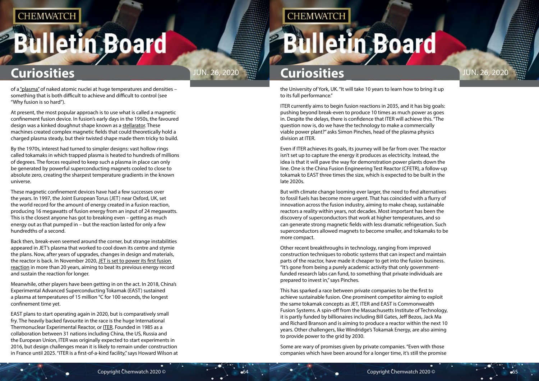# **Bulletin Board**



the University of York, UK. "It will take 10 years to learn how to bring it up to its full performance."

ITER currently aims to begin fusion reactions in 2035, and it has big goals: pushing beyond break-even to produce 10 times as much power as goes in. Despite the delays, there is confidence that ITER will achieve this. "The question now is, do we have the technology to make a commercially viable power plant?" asks Simon Pinches, head of the plasma physics division at ITER.

Even if ITER achieves its goals, its journey will be far from over. The reactor isn't set up to capture the energy it produces as electricity. Instead, the idea is that it will pave the way for demonstration power plants down the line. One is the China Fusion Engineering Test Reactor (CFETR), a follow-up tokamak to EAST three times the size, which is expected to be built in the late 2020s.

But with climate change looming ever larger, the need to find alternatives to fossil fuels has become more urgent. That has coincided with a flurry of innovation across the fusion industry, aiming to make cheap, sustainable reactors a reality within years, not decades. Most important has been the discovery of superconductors that work at higher temperatures, and so can generate strong magnetic fields with less dramatic refrigeration. Such superconductors allowed magnets to become smaller, and tokamaks to be more compact.

Other recent breakthroughs in technology, ranging from improved construction techniques to robotic systems that can inspect and maintain parts of the reactor, have made it cheaper to get into the fusion business. "It's gone from being a purely academic activity that only governmentfunded research labs can fund, to something that private individuals are prepared to invest in," says Pinches.

This has sparked a race between private companies to be the first to achieve sustainable fusion. One prominent competitor aiming to exploit the same tokamak concepts as JET, ITER and EAST is Commonwealth Fusion Systems. A spin-off from the Massachusetts Institute of Technology, it is partly funded by billionaires including Bill Gates, Jeff Bezos, Jack Ma and Richard Branson and is aiming to produce a reactor within the next 10 years. Other challengers, like Windridge's Tokamak Energy, are also aiming to provide power to the grid by 2030.

Some are wary of promises given by private companies. "Even with those companies which have been around for a longer time, it's still the promise

of a ["plasma"](https://www.newscientist.com/article/mg23631530-400-how-a-fiery-matterantimatter-union-may-lead-to-limitless-energy/) of naked atomic nuclei at huge temperatures and densities – something that is both difficult to achieve and difficult to control (see "Why fusion is so hard").

At present, the most popular approach is to use what is called a magnetic confinement fusion device. In fusion's early days in the 1950s, the favoured design was a kinked doughnut shape known as a [stellarator](https://www.newscientist.com/article/2075031-nuclear-fusion-can-the-stellarator-unleash-the-power/). These machines created complex magnetic fields that could theoretically hold a charged plasma steady, but their twisted shape made them tricky to build.

By the 1970s, interest had turned to simpler designs: vast hollow rings called tokamaks in which trapped plasma is heated to hundreds of millions of degrees. The forces required to keep such a plasma in place can only be generated by powerful superconducting magnets cooled to close to absolute zero, creating the sharpest temperature gradients in the known universe.

These magnetic confinement devices have had a few successes over the years. In 1997, the Joint European Torus (JET) near Oxford, UK, set the world record for the amount of energy created in a fusion reaction, producing 16 megawatts of fusion energy from an input of 24 megawatts. This is the closest anyone has got to breaking even – getting as much energy out as that pumped in – but the reaction lasted for only a few hundredths of a second.

Back then, break-even seemed around the corner, but strange instabilities appeared in JET's plasma that worked to cool down its centre and stymie the plans. Now, after years of upgrades, changes in design and materials, the reactor is back. In November 2020, [JET is set to power its first fusion](https://www.newscientist.com/article/2231341-uk-nuclear-fusion-reactor-will-fire-up-for-the-first-time-in-23-years/)  [reaction](https://www.newscientist.com/article/2231341-uk-nuclear-fusion-reactor-will-fire-up-for-the-first-time-in-23-years/) in more than 20 years, aiming to beat its previous energy record and sustain the reaction for longer.

Meanwhile, other players have been getting in on the act. In 2018, China's Experimental Advanced Superconducting Tokamak (EAST) sustained a plasma at temperatures of 15 million °C for 100 seconds, the longest confinement time yet.

EAST plans to start operating again in 2020, but is comparatively small fry. The heavily backed favourite in the race is the huge International Thermonuclear Experimental Reactor, or [ITER.](https://www.newscientist.com/article/mg21428596-200-how-to-build-an-artificial-star-on-earth/) Founded in 1985 as a collaboration between 31 nations including China, the US, Russia and the European Union, ITER was originally expected to start experiments in 2016, but design challenges mean it is likely to remain under construction in France until 2025. "ITER is a first-of-a-kind facility," says Howard Wilson at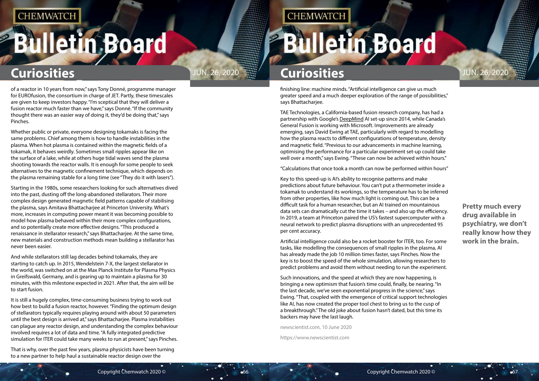# **Bulletin Board**



**Pretty much every drug available in psychiatry, we don't really know how they work in the brain.**

## **Curiosities Curiosities**

finishing line: machine minds. "Artificial intelligence can give us much greater speed and a much deeper exploration of the range of possibilities," says Bhattacharjee.

TAE Technologies, a California-based fusion research company, has had a partnership with Google's [DeepMind](https://www.newscientist.com/article-topic/deepmind/) AI set-up since 2014, while Canada's General Fusion is working with Microsoft. Improvements are already emerging, says David Ewing at TAE, particularly with regard to modelling how the plasma reacts to different configurations of temperature, density and magnetic field. "Previous to our advancements in machine learning, optimising the performance for a particular experiment set-up could take well over a month," says Ewing. "These can now be achieved within hours."

"Calculations that once took a month can now be performed within hours"

Key to this speed-up is AI's ability to recognise patterns and make predictions about future behaviour. You can't put a thermometer inside a tokamak to understand its workings, so the temperature has to be inferred from other properties, like how much light is coming out. This can be a difficult task for a human researcher, but an AI trained on mountainous data sets can dramatically cut the time it takes – and also up the efficiency. In 2019, a team at Princeton paired the US's fastest supercomputer with a neural network to predict plasma disruptions with an unprecedented 95 per cent accuracy.

Artificial intelligence could also be a rocket booster for ITER, too. For some tasks, like modelling the consequences of small ripples in the plasma, AI has already made the job 10 million times faster, says Pinches. Now the key is to boost the speed of the whole simulation, allowing researchers to predict problems and avoid them without needing to run the experiment.

Such innovations, and the speed at which they are now happening, is bringing a new optimism that fusion's time could, finally, be nearing. "In the last decade, we've seen exponential progress in the science," says Ewing. "That, coupled with the emergence of critical support technologies like AI, has now created the proper tool chest to bring us to the cusp of a breakthrough." The old joke about fusion hasn't dated, but this time its backers may have the last laugh.

It is still a hugely complex, time-consuming business trying to work out how best to build a fusion reactor, however. "Finding the optimum design of stellarators typically requires playing around with about 50 parameters until the best design is arrived at," says Bhattacharjee. Plasma instabilities can plague any reactor design, and understanding the complex behaviour involved requires a lot of data and time. "A fully integrated predictive simulation for ITER could take many weeks to run at present," says Pinches.

newscientist.com, 10 June 2020

https://www.newscientist.com

of a reactor in 10 years from now," says Tony Donné, programme manager for EUROfusion, the consortium in charge of JET. Partly, these timescales are given to keep investors happy. "I'm sceptical that they will deliver a fusion reactor much faster than we have," says Donné. "If the community thought there was an easier way of doing it, they'd be doing that," says Pinches.

Whether public or private, everyone designing tokamaks is facing the same problems. Chief among them is how to handle instabilities in the plasma. When hot plasma is contained within the magnetic fields of a tokamak, it behaves weirdly. Sometimes small ripples appear like on the surface of a lake, while at others huge tidal waves send the plasma shooting towards the reactor walls. It is enough for some people to seek alternatives to the magnetic confinement technique, which depends on the plasma remaining stable for a long time (see "They do it with lasers").

Starting in the 1980s, some researchers looking for such alternatives dived into the past, dusting off the long-abandoned stellarators. Their more complex design generated magnetic field patterns capable of stabilising the plasma, says Amitava Bhattacharjee at Princeton University. What's more, increases in computing power meant it was becoming possible to model how plasma behaved within their more complex configurations, and so potentially create more effective designs. "This produced a renaissance in stellarator research," says Bhattacharjee. At the same time, new materials and construction methods mean building a stellarator has never been easier.

And while stellarators still lag decades behind tokamaks, they are starting to catch up. In 2015, Wendelstein 7-X, the largest stellarator in the world, was switched on at the Max Planck Institute for Plasma Physics in Greifswald, Germany, and is gearing up to maintain a plasma for 30 minutes, with this milestone expected in 2021. After that, the aim will be to start fusion.

That is why, over the past few years, plasma physicists have been turning to a new partner to help haul a sustainable reactor design over the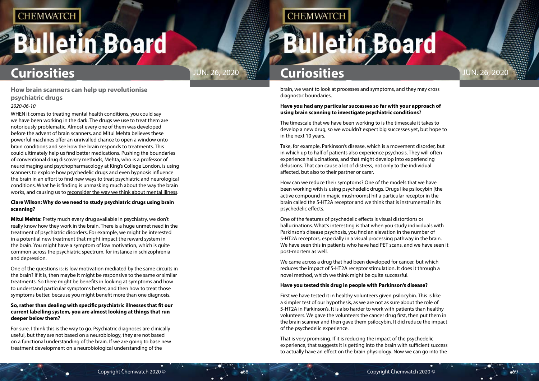# **Bulletin Board**

<span id="page-34-0"></span>

brain, we want to look at processes and symptoms, and they may cross diagnostic boundaries.

#### **Have you had any particular successes so far with your approach of using brain scanning to investigate psychiatric conditions?**

The timescale that we have been working to is the timescale it takes to develop a new drug, so we wouldn't expect big successes yet, but hope to in the next 10 years.

Take, for example, Parkinson's disease, which is a movement disorder, but in which up to half of patients also experience psychosis. They will often experience hallucinations, and that might develop into experiencing delusions. That can cause a lot of distress, not only to the individual affected, but also to their partner or carer.

How can we reduce their symptoms? One of the models that we have been working with is using psychedelic drugs. Drugs like psilocybin [the active compound in magic mushrooms] hit a particular receptor in the brain called the 5-HT2A receptor and we think that is instrumental in its psychedelic effects.

One of the features of psychedelic effects is visual distortions or hallucinations. What's interesting is that when you study individuals with Parkinson's disease psychosis, you find an elevation in the number of 5-HT2A receptors, especially in a visual processing pathway in the brain. We have seen this in patients who have had PET scans, and we have seen it post-mortem as well.

We came across a drug that had been developed for cancer, but which reduces the impact of 5-HT2A receptor stimulation. It does it through a novel method, which we think might be quite successful.

#### **Have you tested this drug in people with Parkinson's disease?**

First we have tested it in healthy volunteers given psilocybin. This is like a simpler test of our hypothesis, as we are not as sure about the role of 5-HT2A in Parkinson's. It is also harder to work with patients than healthy volunteers. We gave the volunteers the cancer drug first, then put them in the brain scanner and then gave them psilocybin. It did reduce the impact of the psychedelic experience.

That is very promising. If it is reducing the impact of the psychedelic experience, that suggests it is getting into the brain with sufficient success to actually have an effect on the brain physiology. Now we can go into the

### **How brain scanners can help up revolutionise psychiatric drugs**

#### *2020-06-10*

WHEN it comes to treating mental health conditions, you could say we have been working in the dark. The drugs we use to treat them are notoriously problematic. Almost every one of them was developed before the advent of brain scanners, and Mitul Mehta believes these powerful machines offer an unrivalled chance to open a window onto brain conditions and see how the brain responds to treatments. This could ultimately help us find better medications. Pushing the boundaries of conventional drug discovery methods, Mehta, who is a professor of neuroimaging and psychopharmacology at King's College London, is using scanners to explore how psychedelic drugs and even hypnosis influence the brain in an effort to find new ways to treat psychiatric and neurological conditions. What he is finding is unmasking much about the way the brain works, and causing us to [reconsider the way we think about mental illness.](https://www.newscientist.com/article/mg24532660-500-a-radical-idea-suggests-mental-health-conditions-have-a-single-cause/)

#### **Clare Wilson: Why do we need to study psychiatric drugs using brain scanning?**

**Mitul Mehta:** Pretty much every drug available in psychiatry, we don't really know how they work in the brain. There is a huge unmet need in the treatment of psychiatric disorders. For example, we might be interested in a potential new treatment that might impact the reward system in the brain. You might have a symptom of low motivation, which is quite common across the psychiatric spectrum, for instance in schizophrenia and depression.

One of the questions is: is low motivation mediated by the same circuits in the brain? If it is, then maybe it might be responsive to the same or similar treatments. So there might be benefits in looking at symptoms and how to understand particular symptoms better, and then how to treat those symptoms better, because you might benefit more than one diagnosis.

#### **So, rather than dealing with specific psychiatric illnesses that fit our current labelling system, you are almost looking at things that run deeper below them?**

For sure. I think this is the way to go. Psychiatric diagnoses are clinically useful, but they are not based on a neurobiology, they are not based on a functional understanding of the brain. If we are going to base new treatment development on a neurobiological understanding of the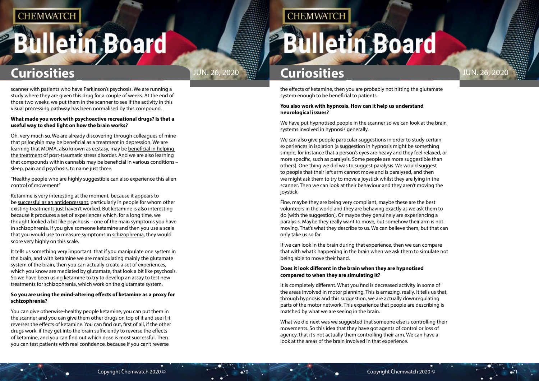# **Bulletin Board**



the effects of ketamine, then you are probably not hitting the glutamate system enough to be beneficial to patients.

#### **You also work with hypnosis. How can it help us understand neurological issues?**

We have put hypnotised people in the scanner so we can look at the brain [systems involved in](https://www.newscientist.com/article/mg24432550-600-what-hypnosis-does-to-your-brain-and-how-it-can-improve-your-health/) [hypnosis](https://www.newscientist.com/article/mg24432550-600-what-hypnosis-does-to-your-brain-and-how-it-can-improve-your-health/) generally.

We can also give people particular suggestions in order to study certain experiences in isolation [a suggestion in hypnosis might be something simple, for instance that a person's eyes are heavy and they feel relaxed, or more specific, such as paralysis. Some people are more suggestible than others]. One thing we did was to suggest paralysis. We would suggest to people that their left arm cannot move and is paralysed, and then we might ask them to try to move a joystick whilst they are lying in the scanner. Then we can look at their behaviour and they aren't moving the joystick.

Fine, maybe they are being very compliant, maybe these are the best volunteers in the world and they are behaving exactly as we ask them to do [with the suggestion]. Or maybe they genuinely are experiencing a paralysis. Maybe they really want to move, but somehow their arm is not moving. That's what they describe to us. We can believe them, but that can only take us so far.

If we can look in the brain during that experience, then we can compare that with what's happening in the brain when we ask them to simulate not being able to move their hand.

#### **Does it look different in the brain when they are hypnotised compared to when they are simulating it?**

It is completely different. What you find is decreased activity in some of the areas involved in motor planning. This is amazing, really. It tells us that, through hypnosis and this suggestion, we are actually downregulating parts of the motor network. This experience that people are describing is matched by what we are seeing in the brain.

What we did next was we suggested that someone else is controlling their movements. So this idea that they have got agents of control or loss of agency, that it's not actually them controlling their arm. We can have a look at the areas of the brain involved in that experience.

scanner with patients who have Parkinson's psychosis. We are running a study where they are given this drug for a couple of weeks. At the end of those two weeks, we put them in the scanner to see if the activity in this visual processing pathway has been normalised by this compound.

#### **What made you work with psychoactive recreational drugs? Is that a useful way to shed light on how the brain works?**

Oh, very much so. We are already discovering through colleagues of mine that [psilocybin may be beneficial](https://www.newscientist.com/article/2230189-what-its-like-to-trip-on-psilocybin-for-a-scientific-research-study/) as a [treatment in depression](https://www.newscientist.com/article/mg23030743-700-magic-mushroom-ingredient-tested-as-depression-treatment/). We are learning that MDMA, also known as ecstasy, may be [beneficial in helping](https://www.newscientist.com/article/mg23631530-300-mind-menders-how-psychedelic-drugs-rebuild-broken-brains/)  [the treatment](https://www.newscientist.com/article/mg23631530-300-mind-menders-how-psychedelic-drugs-rebuild-broken-brains/) of post-traumatic stress disorder. And we are also learning that compounds within cannabis may be beneficial in various conditions – sleep, pain and psychosis, to name just three.

"Healthy people who are highly suggestible can also experience this alien control of movement"

Ketamine is very interesting at the moment, because it appears to be [successful as an antidepressant,](https://www.newscientist.com/article/mg24132212-400-we-should-cautiously-welcome-use-of-a-form-of-ketamine-for-depression/) particularly in people for whom other existing treatments just haven't worked. But ketamine is also interesting because it produces a set of experiences which, for a long time, we thought looked a bit like psychosis – one of the main symptoms you have in schizophrenia. If you give someone ketamine and then you use a scale that you would use to measure symptoms in [schizophrenia,](https://www.newscientist.com/article/2163985-first-anatomical-evidence-of-several-types-of-schizophrenia/) they would score very highly on this scale.

It tells us something very important: that if you manipulate one system in the brain, and with ketamine we are manipulating mainly the glutamate system of the brain, then you can actually create a set of experiences, which you know are mediated by glutamate, that look a bit like psychosis. So we have been using ketamine to try to develop an assay to test new treatments for schizophrenia, which work on the glutamate system.

#### **So you are using the mind-altering effects of ketamine as a proxy for schizophrenia?**

You can give otherwise-healthy people ketamine, you can put them in the scanner and you can give them other drugs on top of it and see if it reverses the effects of ketamine. You can find out, first of all, if the other drugs work, if they get into the brain sufficiently to reverse the effects of ketamine, and you can find out which dose is most successful. Then you can test patients with real confidence, because if you can't reverse

## **CHEMWATCH**

# **Illetin Board**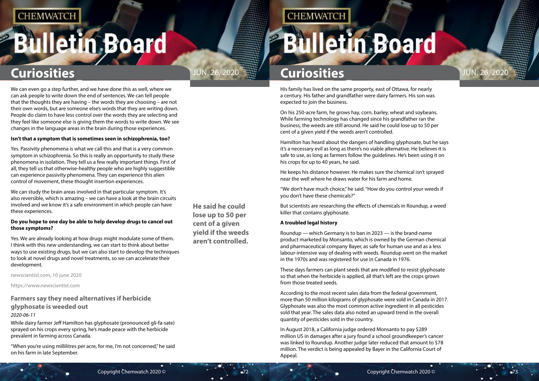# <span id="page-36-0"></span>**Bulletin Board**



**He said he could lose up to 50 per cent of a given yield if the weeds aren't controlled.**

## **CHEMWATCH**

# **Illetin Board**

## **Curiosities Curiosities**

His family has lived on the same property, east of Ottawa, for nearly a century. His father and grandfather were dairy farmers. His son was expected to join the business.

On his 250-acre farm, he grows hay, corn, barley, wheat and soybeans. While farming technology has changed since his grandfather ran the business, the weeds are still around. He said he could lose up to 50 per cent of a given yield if the weeds aren't controlled.

Hamilton has heard about the [dangers](https://www.nationalobserver.com/2018/11/23/news/dying-cancer-mans-case-has-stunning-repercussions-canada) of handling glyphosate, but he says it's a necessary evil as long as there's no viable alternative. He believes it is safe to use, as long as farmers follow the guidelines. He's been using it on his crops for up to 40 years, he said.

He keeps his distance however. He makes sure the chemical isn't sprayed near the well where he draws water for his farm and home.

"We don't have much choice," he said. "How do you control your weeds if you don't have these chemicals?"

But scientists are researching the effects of chemicals in Roundup, a weed killer that contains glyphosate.

#### **A troubled legal history**

Roundup — which [Germany](https://www.smh.com.au/business/companies/should-you-really-be-worried-about-using-roundup-20190922-p52tsq.html) is to ban in 2023 — is the brand-name product marketed by Monsanto, which is owned by the German chemical and pharmaceutical company Bayer, as safe for human use and as a less labour-intensive way of dealing with weeds. Roundup went on the market in the 1970s and was registered for use in Canada in 1976.

These days farmers can plant seeds that are modified to resist glyphosate so that when the herbicide is applied, all that's left are the crops grown from those treated seeds.

According to the most recent [sales data from the federal government,](https://www.documentcloud.org/documents/6923184-Pest-Control-Products-Sales-Report-for-2017.html) more than 50 million kilograms of glyphosate were sold in Canada in 2017. Glyphosate was also the most common active ingredient in all pesticides sold that year. The sales data also noted an upward trend in the overall quantity of pesticides sold in the country.

In August 2018, a California judge ordered Monsanto [to pay \\$289](https://www.npr.org/2018/11/01/662812333/groundskeeper-accepts-reduced-78-million-in-monsanto-cancer-suit)  [million](https://www.npr.org/2018/11/01/662812333/groundskeeper-accepts-reduced-78-million-in-monsanto-cancer-suit) US in damages after a jury found a school groundkeeper's cancer was linked to Roundup. Another judge later reduced that amount to \$78 million. The verdict is [being appealed](https://www.courthousenews.com/289-million-roundup-jury-verdict-takes-center-state-on-appeal/) by Bayer in the California Court of Appeal.

We can even go a step further, and we have done this as well, where we can ask people to write down the end of sentences. We can tell people that the thoughts they are having – the words they are choosing – are not their own words, but are someone else's words that they are writing down. People do claim to have less control over the words they are selecting and they feel like someone else is giving them the words to write down. We see changes in the language areas in the brain during those experiences.

#### **Isn't that a symptom that is sometimes seen in schizophrenia, too?**

Yes. Passivity phenomena is what we call this and that is a very common symptom in schizophrenia. So this is really an opportunity to study these phenomena in isolation. They tell us a few really important things. First of all, they tell us that otherwise-healthy people who are highly suggestible can experience passivity phenomena. They can experience this alien control of movement, these thought insertion experiences.

We can study the brain areas involved in that particular symptom. It's also reversible, which is amazing – we can have a look at the brain circuits involved and we know it's a safe environment in which people can have these experiences.

#### **Do you hope to one day be able to help develop drugs to cancel out those symptoms?**

Yes. We are already looking at how drugs might modulate some of them. I think with this new understanding, we can start to think about better ways to use existing drugs, but we can also start to develop the techniques to look at novel drugs and novel treatments, so we can accelerate their development.

newscientist.com, 10 june 2020

https://www.newscientist.com

### **Farmers say they need alternatives if herbicide glyphosate is weeded out** *2020-06-11*

While dairy farmer Jeff Hamilton has glyphosate ([pronounced gli-fa-sate\)](https://dictionary.cambridge.org/us/pronunciation/english/glyphosate) sprayed on his crops every spring, he's made peace with the herbicide prevalent in farming across Canada.

"When you're using millilitres per acre, for me, I'm not concerned," he said on his farm in late September.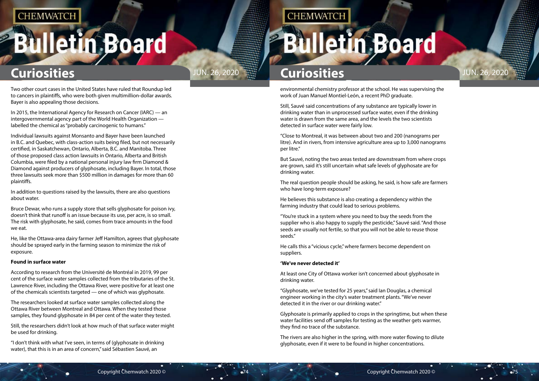# **Illetin Board**



environmental chemistry professor at the school. He was supervising the work of Juan Manuel Montiel-León, a recent PhD graduate.

Still, Sauvé said concentrations of any substance are typically lower in drinking water than in unprocessed surface water, even if the drinking water is drawn from the same area, and the levels the two scientists detected in surface water were fairly low.

"Close to Montreal, it was between about two and 200 (nanograms per litre). And in rivers, from intensive agriculture area up to 3,000 nanograms per litre."

But Sauvé, noting the two areas tested are downstream from where crops are grown, said it's still uncertain what safe levels of glyphosate are for drinking water.

The real question people should be asking, he said, is how safe are farmers who have long-term exposure?

He believes this substance is also creating a dependency within the farming industry that could lead to serious problems.

In 2015, the International Agency for Research on Cancer (IARC) — an intergovernmental agency part of the World Health Organization — labelled the chemical as ["probably carcinogenic to humans."](https://www.iarc.fr/featured-news/media-centre-iarc-news-glyphosate/)

> "You're stuck in a system where you need to buy the seeds from the supplier who is also happy to supply the pesticide," Sauvé said. "And those seeds are usually not fertile, so that you will not be able to reuse those seeds."

He calls this a "vicious cycle," where farmers become dependent on suppliers.

#### **'We've never detected it'**

At least one City of Ottawa worker isn't concerned about glyphosate in drinking water.

"Glyphosate, we've tested for 25 years," said Ian Douglas, a chemical engineer working in the city's water treatment plants. "We've never detected it in the river or our drinking water."

Glyphosate is primarily applied to crops in the springtime, but when these water facilities send off samples for testing as the weather gets warmer, they find no trace of the substance.

The rivers are also higher in the spring, with more water flowing to dilute glyphosate, even if it were to be found in higher concentrations.

[Two other court cases](https://www.nytimes.com/2019/03/19/business/monsanto-roundup-cancer.html) in the United States have ruled that Roundup [led](https://www.nytimes.com/2019/03/27/us/monstanto-roundup-california-verdict.html)  [to cancers](https://www.nytimes.com/2019/03/27/us/monstanto-roundup-california-verdict.html) in plaintiffs, who were both given multimillion-dollar awards. Bayer is also appealing those decisions.

Individual lawsuits against Monsanto and Bayer have been launched in [B.C.](https://www.cbc.ca/news/canada/british-columbia/monsanto-roundup-lawsuit-1.5325084) and [Quebec,](https://www.cbc.ca/news/canada/montreal/quebec-monsanto-lawsuit-1.5147891) with class-action suits being filed, but not necessarily certified, in [Saskatchewan,](https://www.cbc.ca/news/canada/saskatchewan/merchant-roundup-class-action-monsanto-1.5138038) Ontario, Alberta, [B.C.](https://www.cbc.ca/news/business/class-action-lawsuit-roundup-1.5366184) and [Manitoba.](https://winnipeg.ctvnews.ca/former-manitoba-farmer-fighting-cancer-takes-legal-action-against-makers-of-roundup-1.4580259) Three of those [proposed class action lawsuits](https://london.ctvnews.ca/proposed-lawsuit-alleges-weed-killer-causes-cancer-1.4695671) in Ontario, Alberta and British Columbia, were filed by a national personal injury law firm Diamond & Diamond against producers of glyphosate, including Bayer. In total, those three lawsuits seek more than \$500 million in damages for more than 60 plaintiffs.

In addition to questions raised by the lawsuits, there are also questions about water.

Bruce Dewar, who runs a supply store that sells glyphosate for poison ivy, doesn't think that runoff is an issue because its use, per acre, is so small. The risk with glyphosate, he said, comes from trace amounts in the food we eat.

He, like the Ottawa-area dairy farmer Jeff Hamilton, agrees that glyphosate should be sprayed early in the farming season to minimize the risk of exposure.

#### **Found in surface water**

According to research from the Université de Montréal in 2019, 99 per cent of the surface water samples collected from the tributaries of the St. Lawrence River, including the Ottawa River, were positive for at least one of the chemicals scientists targeted — one of which was glyphosate.

The researchers looked at surface water samples collected along the Ottawa River between Montreal and Ottawa. When they tested those samples, they found glyphosate in 84 per cent of the water they tested.

Still, the researchers didn't look at how much of that surface water might be used for drinking.

"I don't think with what I've seen, in terms of (glyphosate in drinking water), that this is in an area of concern," said Sébastien Sauvé, an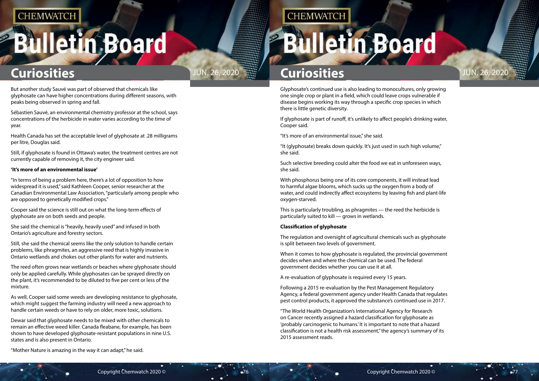# **Illetin Board**



Glyphosate's continued use is also leading to monocultures, only growing one single crop or plant in a field, which could leave crops vulnerable if disease begins working its way through a specific crop species in which there is little genetic diversity.

If glyphosate is part of runoff, it's unlikely to affect people's drinking water, Cooper said.

"It's more of an environmental issue," she said.

"It (glyphosate) breaks down quickly. It's just used in such high volume," she said.

Such selective breeding could alter the food we eat in unforeseen ways, she said.

With phosphorus being one of its core components, it will instead lead to harmful algae blooms, which sucks up the oxygen from a body of water, and could indirectly affect ecosystems by leaving fish and plant-life oxygen-starved.

This is particularly troubling, as phragmites — the reed the herbicide is particularly suited to kill — grows in wetlands.

#### **Classification of glyphosate**

The regulation and oversight of agricultural chemicals such as glyphosate is split between two levels of government.

When it comes to how glyphosate is regulated, the provincial government decides when and where the chemical can be used. The federal government decides whether you can use it at all.

A re-evaluation of glyphosate is required every 15 years.

Following a 2015 re-evaluation by the Pest Management Regulatory Agency, a federal government agency under Health Canada that regulates pest control products, it approved the substance's continued use in 2017.

"The World Health Organization's International Agency for Research on Cancer recently assigned a hazard classification for glyphosate as 'probably carcinogenic to humans.' It is important to note that a hazard classification is not a health risk assessment," the agency's summary of its 2015 assessment reads.

But another [study](https://www.sciencedirect.com/science/article/pii/S0048969719312197) Sauvé was part of observed that chemicals like glyphosate can have higher concentrations during different seasons, with peaks being observed in spring and fall.

Sébastien Sauvé, an environmental chemistry professor at the school, says concentrations of the herbicide in water varies according to the time of year.

Health Canada has set the acceptable level of glyphosate at .28 milligrams per litre, Douglas said.

Still, if glyphosate is found in Ottawa's water, the treatment centres are not currently capable of removing it, the city engineer said.

#### **'It's more of an environmental issue'**

"In terms of being a problem here, there's a lot of opposition to how widespread it is used," said Kathleen Cooper, senior researcher at the Canadian Environmental Law Association, "particularly among people who are opposed to genetically modified crops."

Cooper said the science is still out on what the long-term effects of glyphosate are on both seeds and people.

She said the chemical is "heavily, heavily used" and infused in both Ontario's agriculture and forestry sectors.

Still, she said the chemical seems like the only solution to handle certain problems, like phragmites, an aggressive reed that is highly invasive in Ontario wetlands and chokes out other plants for water and nutrients.

The reed often grows near wetlands or beaches where glyphosate should only be [applied carefully](https://www.greatlakesphragmites.net/management-2/herbicide/). While glyphosates can be sprayed directly on the plant, it's recommended to be [diluted](https://www.ontarioinvasiveplants.ca/wp-content/uploads/2017/05/OIPC_TechnicalBMP_Phragmites_Apr282017_D7_WEB.pdf) to five per cent or less of the mixture[.](https://www.greatlakesphragmites.net/management-2/herbicide/)

As well, Cooper said some weeds are developing resistance to glyphosate, which might suggest the farming industry will need a new approach to handle certain weeds or have to rely on older, more toxic, solutions.

Dewar said that glyphosate needs to be mixed with other chemicals to remain an effective weed killer. Canada fleabane, for example, has been shown to have developed glyphosate-resistant populations in nine U.S. states and is also present in Ontario.

"Mother Nature is amazing in the way it can adapt," he said.

## **CHEMWATCH**

# **Iletin Board**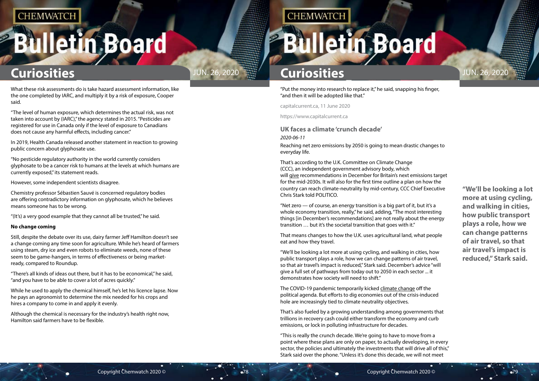# <span id="page-39-0"></span>**Bulletin Board**



"Put the money into research to replace it," he said, snapping his finger, "and then it will be adopted like that."

> **"We'll be looking a lot more at using cycling, and walking in cities, how public transport plays a role, how we can change patterns of air travel, so that air travel's impact is reduced," Stark said.**

## **Curiosities Curiosities**

capitalcurrent.ca, 11 June 2020

https://www.capitalcurrent.ca

### **UK faces a climate 'crunch decade'** *2020-06-11*

Reaching net zero emissions by 2050 is going to mean drastic changes to everyday life.

That's according to the U.K. Committee on Climate Change (CCC), an independent government advisory body, which will [give](https://www.theccc.org.uk/comingup/advice-on-the-sixth-carbon-budget/) recommendations in December for Britain's next emissions target for the mid-2030s. It will also for the first time outline a plan on how the country can reach climate-neutrality by mid-century, CCC Chief Executive Chris Stark told POLITICO.

"Net zero — of course, an energy transition is a big part of it, but it's a whole economy transition, really," he said, adding, "The most interesting things [in December's recommendations] are not really about the energy transition … but it's the societal transition that goes with it."

That means changes to how the U.K. uses agricultural land, what people eat and how they travel.

"We'll be looking a lot more at using cycling, and walking in cities, how public transport plays a role, how we can change patterns of air travel, so that air travel's impact is reduced," Stark said. December's advice "will give a full set of pathways from today out to 2050 in each sector ... it demonstrates how society will need to shift."

The COVID-19 pandemic temporarily kicked [climate change](https://pro.politico.eu/news/poll-climate-change-rises-up-list-of-uk-british-voters-concerns-extinction-rebellion) off the political agenda. But efforts to dig economies out of the crisis-induced hole are increasingly tied to climate neutrality objectives.

That's also fueled by a growing understanding among governments that trillions in recovery cash could either transform the economy and curb emissions, or lock in polluting infrastructure for decades.

"This is really the crunch decade. We're going to have to move from a point where these plans are only on paper, to actually developing, in every sector, the policies and ultimately the investments that will drive all of this," Stark said over the phone. "Unless it's done this decade, we will not meet

What these risk assessments do is take hazard assessment information, like the one completed by IARC, and multiply it by a risk of exposure, Cooper said.

"The level of human exposure, which determines the actual risk, was not taken into account by (IARC)," the agency stated in 2015. "Pesticides are registered for use in Canada only if the level of exposure to Canadians does not cause any harmful effects, including cancer."

In 2019, Health Canada released another [statement](https://www.canada.ca/en/health-canada/news/2019/01/statement-from-health-canada-on-glyphosate.html) in reaction to growing public concern about glyphosate use.

"No pesticide regulatory authority in the world currently considers glyphosate to be a cancer risk to humans at the levels at which humans are currently exposed," its statement reads.

However, some independent scientists disagree.

Chemistry professor Sébastien Sauvé is concerned regulatory bodies are offering contradictory information on glyphosate, which he believes means someone has to be wrong.

"(It's) a very good example that they cannot all be trusted," he said.

#### **No change coming**

Still, despite the debate over its use, dairy farmer Jeff Hamilton doesn't see a change coming any time soon for agriculture. While he's heard of farmers using steam, dry ice and even robots to eliminate weeds, none of these seem to be game-hangers, in terms of effectiveness or being marketready, compared to Roundup.

"There's all kinds of ideas out there, but it has to be economical," he said, "and you have to be able to cover a lot of acres quickly."

While he used to apply the chemical himself, he's let his licence lapse. Now he pays an agronomist to determine the mix needed for his crops and hires a company to come in and apply it evenly.

Although the chemical is necessary for the industry's health right now, Hamilton said farmers have to be flexible.

## **CHEMWATCH**

# **Illetin Board**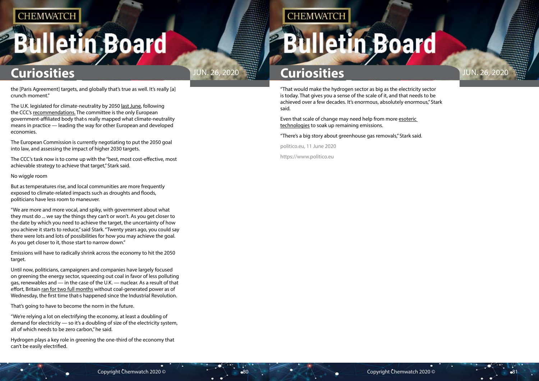# **Bulletin Board**





"That would make the hydrogen sector as big as the electricity sector is today. That gives you a sense of the scale of it, and that needs to be achieved over a few decades. It's enormous, absolutely enormous," Stark said.

Even that scale of change may need help from more [esoteric](https://royalsociety.org/-/media/policy/projects/greenhouse-gas-removal/royal-society-greenhouse-gas-removal-report-2018.pdf)  [technologies](https://royalsociety.org/-/media/policy/projects/greenhouse-gas-removal/royal-society-greenhouse-gas-removal-report-2018.pdf) to soak up remaining emissions.

"There's a big story about greenhouse gas removals," Stark said.

politico.eu, 11 June 2020

https://www.politico.eu

the [Paris Agreement] targets, and globally that's true as well. It's really [a] crunch moment."

The U.K. legislated for climate-neutrality by 2050 [last June](https://www.gov.uk/government/news/uk-becomes-first-major-economy-to-pass-net-zero-emissions-law), following the CCC's [recommendations.](https://www.theccc.org.uk/publication/net-zero-the-uks-contribution-to-stopping-global-warming/?utm_source=POLITICO.EU&utm_campaign=583729e115-EMAIL_CAMPAIGN_2019_06_11_08_41&utm_medium=email&utm_term=0_10959edeb5-583729e115-189693589) The committee is the only European government-affiliated body that›s really mapped what climate-neutrality means in practice — leading the way for other European and developed economies.

Until now, politicians, campaigners and companies have largely focused on greening the energy sector, squeezing out coal in favor of less polluting gas, renewables and — in the case of the U.K. — nuclear. As a result of that effort, Britain [ran for two full months](https://twitter.com/ng_eso/status/1270324752322871296) without coal-generated power as of Wednesday, the first time that is happened since the Industrial Revolution.

The European Commission is currently negotiating to put the 2050 goal into law, and assessing the impact of higher 2030 targets.

The CCC's task now is to come up with the "best, most cost-effective, most achievable strategy to achieve that target," Stark said.

#### No wiggle room

But as temperatures rise, and local communities are more frequently exposed to climate-related impacts such as droughts and floods, politicians have less room to maneuver.

"We are more and more vocal, and spiky, with government about what they must do ... we say the things they can't or won't. As you get closer to the date by which you need to achieve the target, the uncertainty of how you achieve it starts to reduce," said Stark. "Twenty years ago, you could say there were lots and lots of possibilities for how you may achieve the goal. As you get closer to it, those start to narrow down."

Emissions will have to radically shrink across the economy to hit the 2050 target.

That's going to have to become the norm in the future.

"We're relying a lot on electrifying the economy, at least a doubling of demand for electricity — so it's a doubling of size of the electricity system, all of which needs to be zero carbon," he said.

Hydrogen plays a key role in greening the one-third of the economy that can't be easily electrified.

## **CHEMWATCH**

# **Illetin Board**